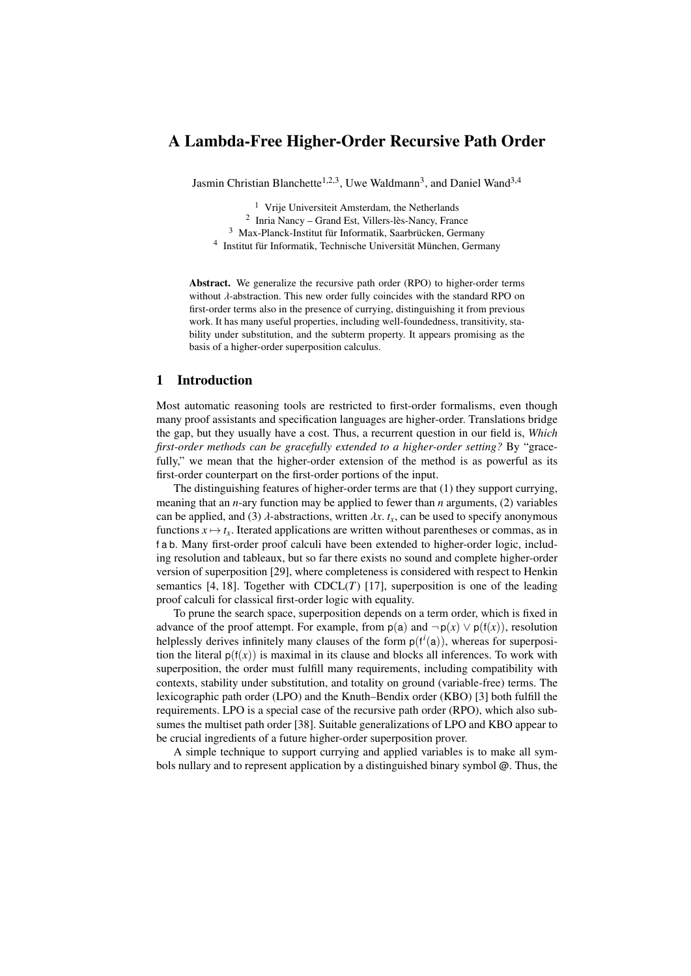# A Lambda-Free Higher-Order Recursive Path Order

Jasmin Christian Blanchette<sup>1,2,3</sup>, Uwe Waldmann<sup>3</sup>, and Daniel Wand<sup>3,4</sup>

<sup>1</sup> Vrije Universiteit Amsterdam, the Netherlands

- 2 Inria Nancy Grand Est, Villers-lès-Nancy, France
- <sup>3</sup> Max-Planck-Institut für Informatik, Saarbrücken, Germany
- 4 Institut für Informatik, Technische Universität München, Germany

Abstract. We generalize the recursive path order (RPO) to higher-order terms without  $\lambda$ -abstraction. This new order fully coincides with the standard RPO on first-order terms also in the presence of currying, distinguishing it from previous work. It has many useful properties, including well-foundedness, transitivity, stability under substitution, and the subterm property. It appears promising as the basis of a higher-order superposition calculus.

# <span id="page-0-0"></span>1 Introduction

Most automatic reasoning tools are restricted to first-order formalisms, even though many proof assistants and specification languages are higher-order. Translations bridge the gap, but they usually have a cost. Thus, a recurrent question in our field is, *Which first-order methods can be gracefully extended to a higher-order setting?* By "gracefully," we mean that the higher-order extension of the method is as powerful as its first-order counterpart on the first-order portions of the input.

The distinguishing features of higher-order terms are that (1) they support currying, meaning that an *n*-ary function may be applied to fewer than *n* arguments, (2) variables can be applied, and (3)  $\lambda$ -abstractions, written  $\lambda x$ .  $t_x$ , can be used to specify anonymous functions  $x \mapsto t_x$ . Iterated applications are written without parentheses or commas, as in f a b. Many first-order proof calculi have been extended to higher-order logic, including resolution and tableaux, but so far there exists no sound and complete higher-order version of superposition [\[29\]](#page-16-0), where completeness is considered with respect to Henkin semantics [\[4,](#page-15-0) [18\]](#page-15-1). Together with  $CDCL(T)$  [\[17\]](#page-15-2), superposition is one of the leading proof calculi for classical first-order logic with equality.

To prune the search space, superposition depends on a term order, which is fixed in advance of the proof attempt. For example, from  $p(a)$  and  $\neg p(x) \vee p(f(x))$ , resolution helplessly derives infinitely many clauses of the form  $p(f<sup>i</sup>(a))$ , whereas for superposition the literal  $p(f(x))$  is maximal in its clause and blocks all inferences. To work with superposition, the order must fulfill many requirements, including compatibility with contexts, stability under substitution, and totality on ground (variable-free) terms. The lexicographic path order (LPO) and the Knuth–Bendix order (KBO) [\[3\]](#page-15-3) both fulfill the requirements. LPO is a special case of the recursive path order (RPO), which also subsumes the multiset path order [\[38\]](#page-16-1). Suitable generalizations of LPO and KBO appear to be crucial ingredients of a future higher-order superposition prover.

A simple technique to support currying and applied variables is to make all symbols nullary and to represent application by a distinguished binary symbol @. Thus, the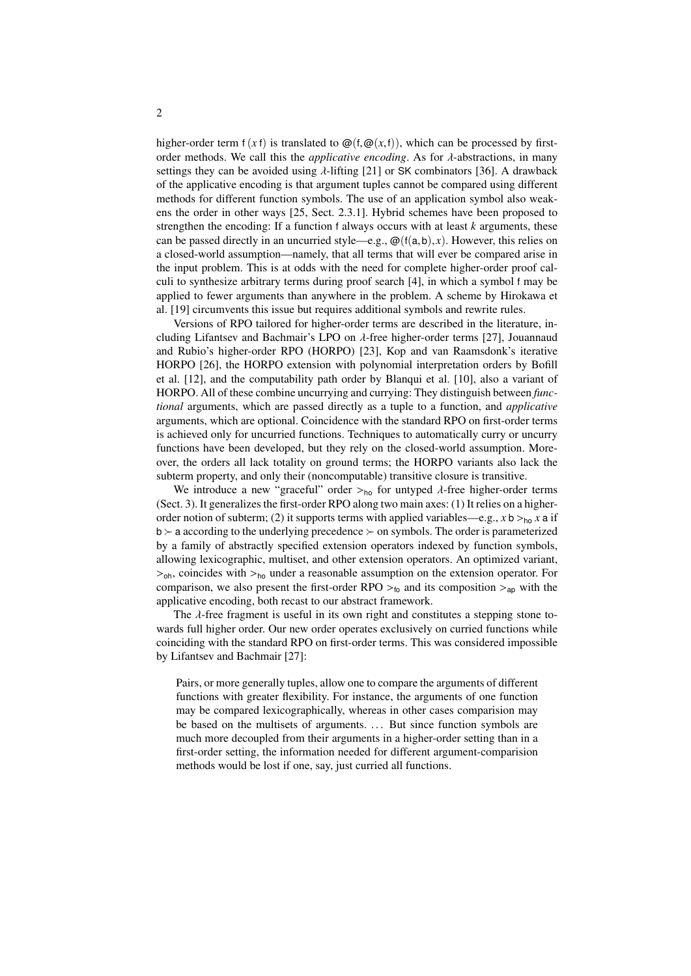higher-order term  $f(xf)$  is translated to  $\mathcal{Q}(f, \mathcal{Q}(x, f))$ , which can be processed by firstorder methods. We call this the *applicative encoding*. As for λ-abstractions, in many settings they can be avoided using  $\lambda$ -lifting [\[21\]](#page-16-2) or SK combinators [\[36\]](#page-16-3). A drawback of the applicative encoding is that argument tuples cannot be compared using different methods for different function symbols. The use of an application symbol also weakens the order in other ways [\[25,](#page-16-4) Sect. 2.3.1]. Hybrid schemes have been proposed to strengthen the encoding: If a function f always occurs with at least *k* arguments, these can be passed directly in an uncurried style—e.g.,  $\omega(f(a,b),x)$ . However, this relies on a closed-world assumption—namely, that all terms that will ever be compared arise in the input problem. This is at odds with the need for complete higher-order proof calculi to synthesize arbitrary terms during proof search [\[4\]](#page-15-0), in which a symbol f may be applied to fewer arguments than anywhere in the problem. A scheme by Hirokawa et al. [\[19\]](#page-15-4) circumvents this issue but requires additional symbols and rewrite rules.

Versions of RPO tailored for higher-order terms are described in the literature, including Lifantsev and Bachmair's LPO on λ-free higher-order terms [\[27\]](#page-16-5), Jouannaud and Rubio's higher-order RPO (HORPO) [\[23\]](#page-16-6), Kop and van Raamsdonk's iterative HORPO [\[26\]](#page-16-7), the HORPO extension with polynomial interpretation orders by Bofill et al. [\[12\]](#page-15-5), and the computability path order by Blanqui et al. [\[10\]](#page-15-6), also a variant of HORPO. All of these combine uncurrying and currying: They distinguish between *functional* arguments, which are passed directly as a tuple to a function, and *applicative* arguments, which are optional. Coincidence with the standard RPO on first-order terms is achieved only for uncurried functions. Techniques to automatically curry or uncurry functions have been developed, but they rely on the closed-world assumption. Moreover, the orders all lack totality on ground terms; the HORPO variants also lack the subterm property, and only their (noncomputable) transitive closure is transitive.

We introduce a new "graceful" order  $>_{h_0}$  for untyped  $\lambda$ -free higher-order terms (Sect. [3\)](#page-4-0). It generalizes the first-order RPO along two main axes: (1) It relies on a higherorder notion of subterm; (2) it supports terms with applied variables—e.g.,  $x$  b ><sub>ho</sub>  $x$  a if  $b \succ a$  according to the underlying precedence  $\succ$  on symbols. The order is parameterized by a family of abstractly specified extension operators indexed by function symbols, allowing lexicographic, multiset, and other extension operators. An optimized variant,  $>_{\text{oh}}$ , coincides with  $>_{\text{ho}}$  under a reasonable assumption on the extension operator. For comparison, we also present the first-order RPO  $>_{60}$  and its composition  $>_{ap}$  with the applicative encoding, both recast to our abstract framework.

The  $\lambda$ -free fragment is useful in its own right and constitutes a stepping stone towards full higher order. Our new order operates exclusively on curried functions while coinciding with the standard RPO on first-order terms. This was considered impossible by Lifantsev and Bachmair [\[27\]](#page-16-5):

Pairs, or more generally tuples, allow one to compare the arguments of different functions with greater flexibility. For instance, the arguments of one function may be compared lexicographically, whereas in other cases comparision may be based on the multisets of arguments. ... But since function symbols are much more decoupled from their arguments in a higher-order setting than in a first-order setting, the information needed for different argument-comparision methods would be lost if one, say, just curried all functions.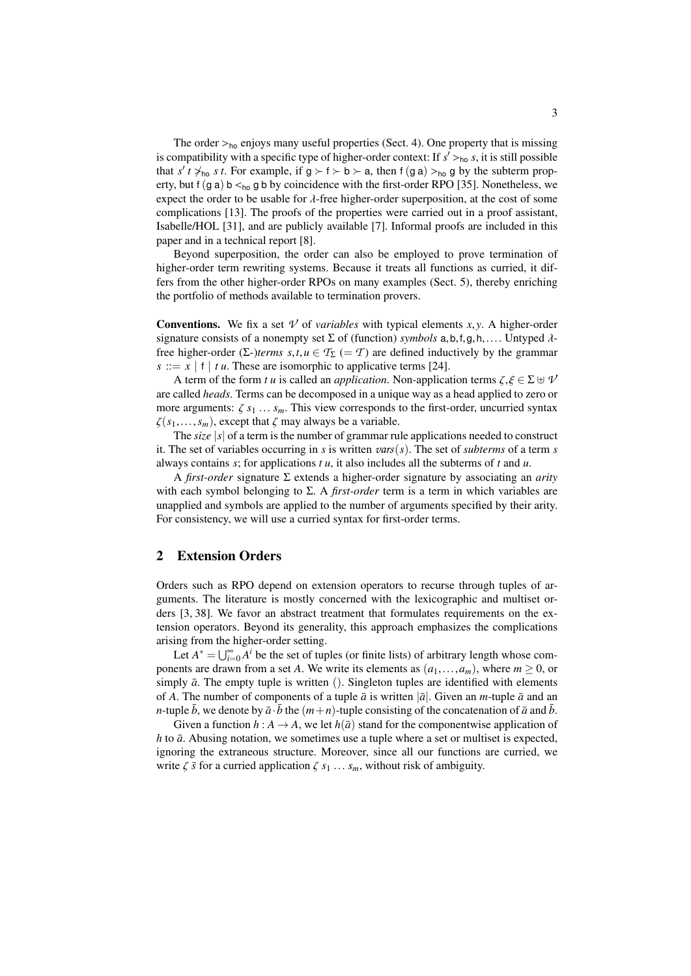The order  $>_{ho}$  enjoys many useful properties (Sect. [4\)](#page-7-0). One property that is missing is compatibility with a specific type of higher-order context: If  $s' > b_0$  *s*, it is still possible<br>that  $s' \neq s'$ , it is still possible if  $g \leq t \leq b \leq a$ , then  $f(g, a) \geq a$  by the subterm propthat  $s'$   $t \neq_{h_0} s$   $t$ . For example, if  $g \succ f \succ b \succ a$ , then  $f(g a) >_{h_0} g$  by the subterm prop-<br>erty but  $f(g a)$   $b \leq_{h_0} a$  by coincidence with the first-order RPO [35]. Nonetheless we erty, but f (g a) b  $\lt_{h}$  g b by coincidence with the first-order RPO [\[35\]](#page-16-8). Nonetheless, we expect the order to be usable for  $\lambda$ -free higher-order superposition, at the cost of some complications [\[13\]](#page-15-7). The proofs of the properties were carried out in a proof assistant, Isabelle/HOL [\[31\]](#page-16-9), and are publicly available [\[7\]](#page-15-8). Informal proofs are included in this paper and in a technical report [\[8\]](#page-15-9).

Beyond superposition, the order can also be employed to prove termination of higher-order term rewriting systems. Because it treats all functions as curried, it differs from the other higher-order RPOs on many examples (Sect. [5\)](#page-11-0), thereby enriching the portfolio of methods available to termination provers.

**Conventions.** We fix a set  $\nu$  of *variables* with typical elements *x*, *y*. A higher-order signature consists of a nonempty set <sup>Σ</sup> of (function) *symbols* <sup>a</sup>,b,f,g,h,.... Untyped λfree higher-order ( $\Sigma$ -)*terms*  $s, t, u \in T_{\Sigma}$  (= *T*) are defined inductively by the grammar  $s ::= x \mid f \mid tu$ . These are isomorphic to applicative terms [\[24\]](#page-16-10).

A term of the form *t u* is called an *application*. Non-application terms  $\zeta, \xi \in \Sigma \oplus \mathcal{V}$ are called *heads*. Terms can be decomposed in a unique way as a head applied to zero or more arguments:  $\zeta s_1 \dots s_m$ . This view corresponds to the first-order, uncurried syntax  $\zeta(s_1,...,s_m)$ , except that  $\zeta$  may always be a variable.

The *size* |*s*| of a term is the number of grammar rule applications needed to construct it. The set of variables occurring in *s* is written *vars*(*s*). The set of *subterms* of a term *s* always contains *<sup>s</sup>*; for applications *t u*, it also includes all the subterms of *<sup>t</sup>* and *<sup>u</sup>*.

A *first-order* signature Σ extends a higher-order signature by associating an *arity* with each symbol belonging to  $\Sigma$ . A *first-order* term is a term in which variables are unapplied and symbols are applied to the number of arguments specified by their arity. For consistency, we will use a curried syntax for first-order terms.

## 2 Extension Orders

Orders such as RPO depend on extension operators to recurse through tuples of arguments. The literature is mostly concerned with the lexicographic and multiset orders [\[3,](#page-15-3) [38\]](#page-16-1). We favor an abstract treatment that formulates requirements on the extension operators. Beyond its generality, this approach emphasizes the complications arising from the higher-order setting.

Let  $A^* = \bigcup_{i=0}^{\infty} A^i$  be the set of tuples (or finite lists) of arbitrary length whose components are drawn from a set *A*. We write its elements as  $(a_1, \ldots, a_m)$ , where  $m \geq 0$ , or simply  $\bar{a}$ . The empty tuple is written (). Singleton tuples are identified with elements of *A*. The number of components of a tuple  $\bar{a}$  is written  $|\bar{a}|$ . Given an *m*-tuple  $\bar{a}$  and an *n*-tuple  $\bar{b}$ , we denote by  $\bar{a} \cdot \bar{b}$  the  $(m+n)$ -tuple consisting of the concatenation of  $\bar{a}$  and  $\bar{b}$ .

Given a function  $h : A \to A$ , we let  $h(\bar{a})$  stand for the componentwise application of *h* to  $\bar{a}$ . Abusing notation, we sometimes use a tuple where a set or multiset is expected, ignoring the extraneous structure. Moreover, since all our functions are curried, we write  $\zeta \bar{s}$  for a curried application  $\zeta s_1 \ldots s_m$ , without risk of ambiguity.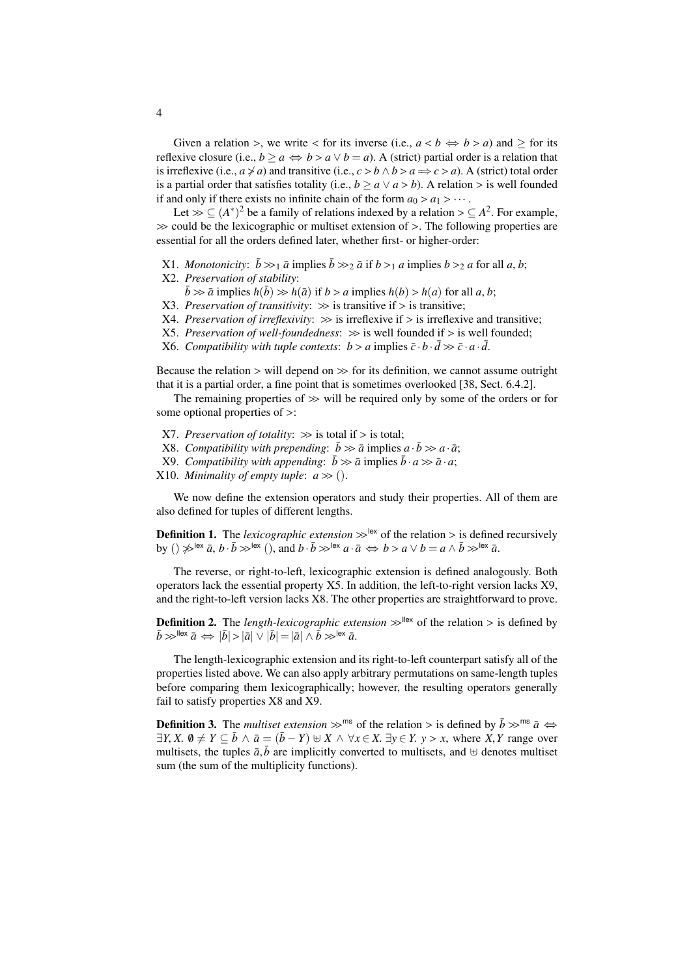Given a relation >, we write < for its inverse (i.e.,  $a < b \Leftrightarrow b > a$ ) and  $\ge$  for its reflexive closure (i.e.,  $b \ge a \Leftrightarrow b > a \vee b = a$ ). A (strict) partial order is a relation that is irreflexive (i.e.,  $a \neq a$ ) and transitive (i.e.,  $c > b \land b > a \Rightarrow c > a$ ). A (strict) total order is a partial order that satisfies totality (i.e.,  $b > a \vee a > b$ ). A relation > is well founded if and only if there exists no infinite chain of the form  $a_0 > a_1 > \cdots$ .

Let  $\gg \subseteq (A^*)^2$  be a family of relations indexed by a relation  $\gt \subseteq A^2$ . For example,  $\gg$  could be the lexicographic or multiset extension of  $\gt$ . The following properties are essential for all the orders defined later, whether first- or higher-order:

- <span id="page-3-7"></span>X1. *Monotonicity*:  $\bar{b} \gg_1 \bar{a}$  implies  $\bar{b} \gg_2 \bar{a}$  if  $b >_1 a$  implies  $b >_2 a$  for all  $a, b$ ;
- <span id="page-3-9"></span>X2. *Preservation of stability*:
	- $\bar{b} \gg \bar{a}$  implies  $h(\bar{b}) \gg h(\bar{a})$  if  $b > a$  implies  $h(b) > h(a)$  for all *a*, *b*;
- <span id="page-3-4"></span>X3. *Preservation of transitivity*:  $\gg$  is transitive if  $>$  is transitive;
- <span id="page-3-8"></span>X4. *Preservation of irreflexivity*:  $\gg$  is irreflexive if  $>$  is irreflexive and transitive;
- <span id="page-3-0"></span>X5. Preservation of well-foundedness:  $\gg$  is well founded if  $>$  is well founded;
- <span id="page-3-5"></span>X6. *Compatibility with tuple contexts:*  $b > a$  implies  $\bar{c} \cdot b \cdot \bar{d} \gg \bar{c} \cdot a \cdot \bar{d}$ .

Because the relation  $>$  will depend on  $\gg$  for its definition, we cannot assume outright that it is a partial order, a fine point that is sometimes overlooked [\[38,](#page-16-1) Sect. 6.4.2].

The remaining properties of  $\gg$  will be required only by some of the orders or for some optional properties of >:

- <span id="page-3-3"></span>X7. *Preservation of totality*:  $\gg$  is total if  $>$  is total;
- <span id="page-3-2"></span>X8. *Compatibility with prepending*:  $\bar{b} \gg \bar{a}$  implies  $a \cdot \bar{b} \gg a \cdot \bar{a}$ ;
- <span id="page-3-1"></span>X9. *Compatibility with appending*:  $\bar{b} \gg \bar{a}$  implies  $\bar{b} \cdot a \gg \bar{a} \cdot a$ ;
- <span id="page-3-6"></span>X10. *Minimality of empty tuple:*  $a \gg$  ().

We now define the extension operators and study their properties. All of them are also defined for tuples of different lengths.

**Definition 1.** The *lexicographic extension*  $\gg$ <sup>lex</sup> of the relation  $>$  is defined recursively by ()  $\gg^{\text{lex}} \bar{a}$ ,  $b \cdot \bar{b} \gg^{\text{lex}}$  (), and  $b \cdot \bar{b} \gg^{\text{lex}} a \cdot \bar{a} \iff b > a \lor b = a \land \bar{b} \gg^{\text{lex}} \bar{a}$ .

The reverse, or right-to-left, lexicographic extension is defined analogously. Both operators lack the essential property [X5.](#page-3-0) In addition, the left-to-right version lacks [X9,](#page-3-1) and the right-to-left version lacks [X8.](#page-3-2) The other properties are straightforward to prove.

**Definition 2.** The *length-lexicographic extension*  $\gg^{\text{flex}}$  of the relation  $>$  is defined by  $\overline{b} \gg^{\text{flex}} \overline{a} \Leftrightarrow |\overline{b}| > |\overline{a}| \vee |\overline{b}| = |\overline{a}| \wedge \overline{b} \gg^{\text{lex}} \overline{a}.$ 

The length-lexicographic extension and its right-to-left counterpart satisfy all of the properties listed above. We can also apply arbitrary permutations on same-length tuples before comparing them lexicographically; however, the resulting operators generally fail to satisfy properties [X8](#page-3-2) and [X9.](#page-3-1)

**Definition 3.** The *multiset extension*  $\gg$ <sup>ms</sup> of the relation > is defined by  $\bar{b} \gg$ <sup>ms</sup>  $\bar{a} \Leftrightarrow$  $\exists Y, X$ .  $\emptyset \neq Y \subseteq \overline{b} \land \overline{a} = (\overline{b} - Y) \oplus X \land \forall x \in X$ .  $\exists y \in Y$ .  $y > x$ , where *X*, *Y* range over multisets, the tuples  $\bar{a}$ , $\bar{b}$  are implicitly converted to multisets, and  $\forall$  denotes multiset sum (the sum of the multiplicity functions).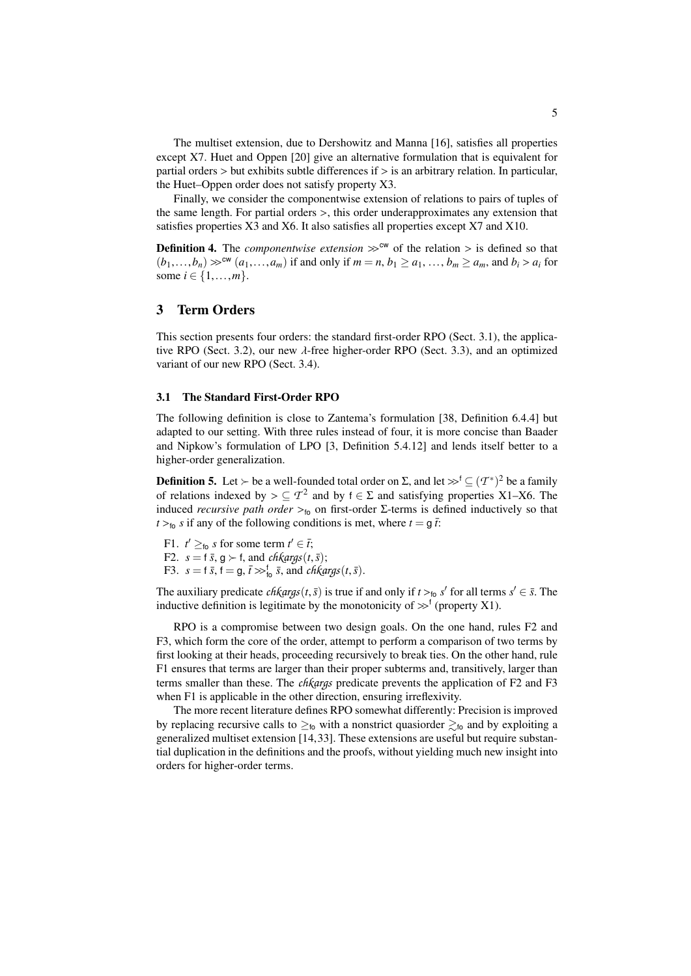The multiset extension, due to Dershowitz and Manna [\[16\]](#page-15-10), satisfies all properties except [X7.](#page-3-3) Huet and Oppen [\[20\]](#page-16-11) give an alternative formulation that is equivalent for partial orders  $>$  but exhibits subtle differences if  $>$  is an arbitrary relation. In particular, the Huet–Oppen order does not satisfy property [X3.](#page-3-4)

Finally, we consider the componentwise extension of relations to pairs of tuples of the same length. For partial orders >, this order underapproximates any extension that satisfies properties [X3](#page-3-4) and [X6.](#page-3-5) It also satisfies all properties except [X7](#page-3-3) and [X10.](#page-3-6)

**Definition 4.** The *componentwise extension*  $\gg^{\text{cw}}$  of the relation  $>$  is defined so that  $(b_1,...,b_n) \gg^{\text{cw}} (a_1,...,a_m)$  if and only if  $m = n, b_1 \ge a_1,...,b_m \ge a_m$ , and  $b_i > a_i$  for some  $i \in \{1, ..., m\}$ .

# <span id="page-4-0"></span>3 Term Orders

This section presents four orders: the standard first-order RPO (Sect. [3.1\)](#page-4-1), the applica-tive RPO (Sect. [3.2\)](#page-5-0), our new  $\lambda$ -free higher-order RPO (Sect. [3.3\)](#page-5-1), and an optimized variant of our new RPO (Sect. [3.4\)](#page-6-0).

#### <span id="page-4-1"></span>3.1 The Standard First-Order RPO

The following definition is close to Zantema's formulation [\[38,](#page-16-1) Definition 6.4.4] but adapted to our setting. With three rules instead of four, it is more concise than Baader and Nipkow's formulation of LPO [\[3,](#page-15-3) Definition 5.4.12] and lends itself better to a higher-order generalization.

**Definition 5.** Let ≻ be a well-founded total order on Σ, and let  $\gg^f$  ⊆  $(T^*)^2$  be a family of relations indexed by  $\sim$  ⊆  $T^2$  and by  $t \in \Sigma$  and satisfying properties X1–X6. The of relations indexed by  $> \subseteq T^2$  and by  $f \in \Sigma$  and satisfying properties [X1–](#page-3-7)[X6.](#page-3-5) The induced *recursive nath order*  $\sim$ , on first-order  $\Sigma$ -terms is defined inductively so that induced *recursive path order*  $>_{f_0}$  on first-order Σ-terms is defined inductively so that  $t >_{\text{fo}} s$  if any of the following conditions is met, where  $t = g \bar{t}$ .

<span id="page-4-4"></span><span id="page-4-3"></span><span id="page-4-2"></span>F1.  $t' \geq_{\text{to}} s$  for some term  $t' \in \overline{t}$ ; F2.  $s = f \bar{s}, g \succ f$ , and *chkargs*(*t*,  $\bar{s}$ ); F3.  $s = \mathfrak{f} \bar{s}$ ,  $\mathfrak{f} = \mathfrak{g}$ ,  $\bar{\mathfrak{f}} \gg_{\mathfrak{f}_0}^{\mathfrak{f}} \bar{s}$ , and *chkargs*(*t*,  $\bar{s}$ ).

The auxiliary predicate *chkargs*(*t*,*s*̄) is true if and only if  $t > t_0$  *s*<sup>*t*</sup> for all terms  $s' \in \overline{s}$ . The inductive definition is legitimate by the monotonicity of  $\searrow$ <sup>f</sup> (property X1) inductive definition is legitimate by the monotonicity of  $\gg^f$  (property [X1\)](#page-3-7).

RPO is a compromise between two design goals. On the one hand, rules [F2](#page-4-2) and [F3,](#page-4-3) which form the core of the order, attempt to perform a comparison of two terms by first looking at their heads, proceeding recursively to break ties. On the other hand, rule [F1](#page-4-4) ensures that terms are larger than their proper subterms and, transitively, larger than terms smaller than these. The *chkargs* predicate prevents the application of [F2](#page-4-2) and [F3](#page-4-3) when [F1](#page-4-4) is applicable in the other direction, ensuring irreflexivity.

The more recent literature defines RPO somewhat differently: Precision is improved by replacing recursive calls to  $\geq_{6}$  with a nonstrict quasiorder  $\geq_{6}$  and by exploiting a generalized multiset extension [\[14,](#page-15-11)[33\]](#page-16-12). These extensions are useful but require substantial duplication in the definitions and the proofs, without yielding much new insight into orders for higher-order terms.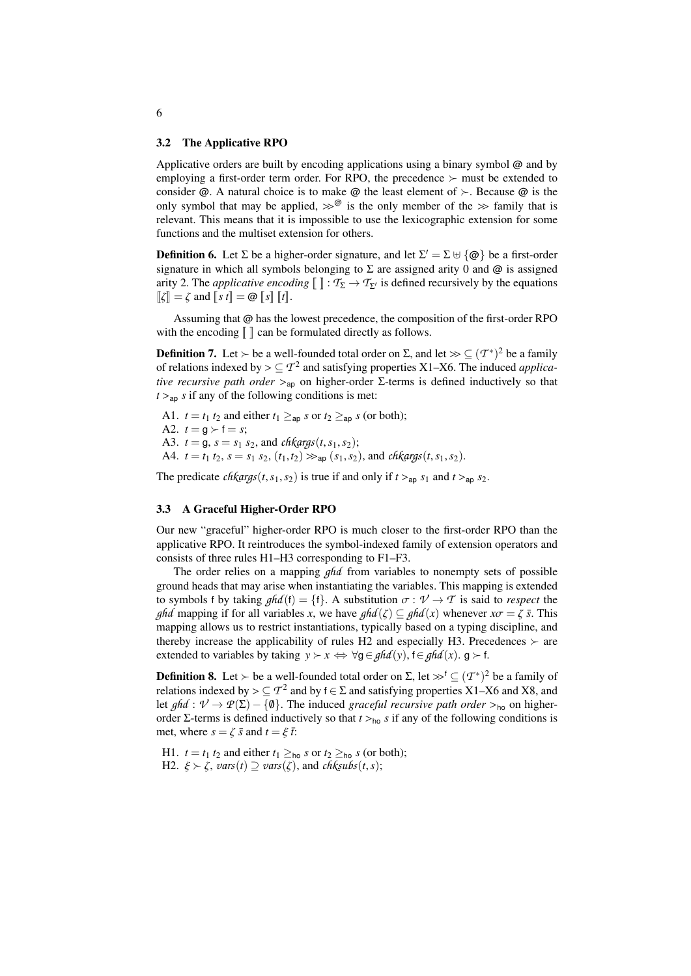#### <span id="page-5-0"></span>3.2 The Applicative RPO

Applicative orders are built by encoding applications using a binary symbol @ and by employing a first-order term order. For RPO, the precedence  $\succ$  must be extended to consider  $\varphi$ . A natural choice is to make  $\varphi$  the least element of  $\succ$ . Because  $\varphi$  is the only symbol that may be applied,  $\gg^{\mathcal{Q}}$  is the only member of the  $\gg$  family that is relevant. This means that it is impossible to use the lexicographic extension for some functions and the multiset extension for others.

**Definition 6.** Let  $\Sigma$  be a higher-order signature, and let  $\Sigma' = \Sigma \cup \{\textcircled{e}\}\$  be a first-order signature in which all symbols belonging to  $\Sigma$  are assigned arity 0 and  $\omega$  is assigned arity 2. The *applicative encoding*  $\llbracket \cdot \rrbracket : \mathcal{T}_{\Sigma} \to \mathcal{T}_{\Sigma'}$  is defined recursively by the equations  $\llbracket \zeta \rrbracket = \zeta$  and  $\llbracket s \, t \rrbracket = \mathcal{Q} \llbracket s \rrbracket$   $\llbracket t \rrbracket$ .

Assuming that @ has the lowest precedence, the composition of the first-order RPO with the encoding  $\llbracket \ \rrbracket$  can be formulated directly as follows.

**Definition 7.** Let  $\succ$  be a well-founded total order on  $\Sigma$ , and let  $\gg \subseteq (T^*)^2$  be a family of relations indexed by  $\gt \subseteq T^2$  and satisfying properties X1–X6. The induced *applica*of relations indexed by  $> \subseteq T^2$  and satisfying properties [X1–](#page-3-7)[X6.](#page-3-5) The induced *applicative recursive nath order*  $\geq$  on higher-order  $\Sigma$ -terms is defined inductively so that *tive recursive path order*  $>_{\text{ao}}$  on higher-order Σ-terms is defined inductively so that  $t >_{ap} s$  if any of the following conditions is met:

<span id="page-5-4"></span>A1.  $t = t_1 t_2$  and either  $t_1 \geq_{\text{ap}} s$  or  $t_2 \geq_{\text{ap}} s$  (or both); A2.  $t = g \succ f = s$ ; A3.  $t = g$ ,  $s = s_1 s_2$ , and *chkargs*(*t*, *s*<sub>1</sub>, *s*<sub>2</sub>); A4.  $t = t_1 t_2$ ,  $s = s_1 s_2$ ,  $(t_1, t_2) \gg_{\text{ap}} (s_1, s_2)$ , and *chkargs*(*t*,  $s_1, s_2$ ).

<span id="page-5-5"></span>The predicate *chkargs*(*t*,  $s_1$ ,  $s_2$ ) is true if and only if  $t >_{a_0} s_1$  and  $t >_{a_0} s_2$ .

#### <span id="page-5-1"></span>3.3 A Graceful Higher-Order RPO

Our new "graceful" higher-order RPO is much closer to the first-order RPO than the applicative RPO. It reintroduces the symbol-indexed family of extension operators and consists of three rules [H1](#page-5-2)[–H3](#page-6-1) corresponding to [F1–](#page-4-4)[F3.](#page-4-3)

The order relies on a mapping *ghd* from variables to nonempty sets of possible ground heads that may arise when instantiating the variables. This mapping is extended to symbols f by taking  $ghd(f) = \{f\}$ . A substitution  $\sigma : \mathcal{V} \to \mathcal{T}$  is said to *respect* the *ghd* mapping if for all variables *x*, we have  $ghd(\zeta) \subseteq ghd(x)$  whenever  $x\sigma = \zeta \bar{s}$ . This mapping allows us to restrict instantiations, typically based on a typing discipline, and thereby increase the applicability of rules [H2](#page-5-3) and especially [H3.](#page-6-1) Precedences  $\succeq$  are extended to variables by taking  $y \succ x \Leftrightarrow \forall g \in \text{ghd}(y)$ ,  $f \in \text{ghd}(x)$ .  $g \succ f$ .

**Definition 8.** Let  $\succ$  be a well-founded total order on  $\Sigma$ , let  $\gg^f$  ⊆  $(T^*)^2$  be a family of relations indexed by  $\succ$  ⊆  $T^2$  and by  $f \in \Sigma$  and satisfying properties  $X1$ – $X6$  and  $X8$ , and relations indexed by  $> \subseteq T^2$  and by  $f \in \Sigma$  and satisfying properties [X1–](#page-3-7)[X6](#page-3-5) and [X8,](#page-3-2) and<br>let  $g f g' \rightarrow \mathcal{P}(\Sigma) = f \mathfrak{g} \setminus \Sigma$  The induced *araceful recursive path order*  $\Sigma$ , on higher let *ghd* :  $V \to P(\Sigma) - \{0\}$ . The induced *graceful recursive path order* ><sub>ho</sub> on higherorder Σ-terms is defined inductively so that  $t >_{\text{ho}} s$  if any of the following conditions is met, where  $s = \zeta \bar{s}$  and  $t = \xi \bar{t}$ .

<span id="page-5-3"></span><span id="page-5-2"></span>H1.  $t = t_1 t_2$  and either  $t_1 \geq_{\text{ho}} s$  or  $t_2 \geq_{\text{ho}} s$  (or both); H2.  $\xi > \zeta$ ,  $vars(t) \supseteq vars(\zeta)$ , and *chksubs*(*t*,*s*);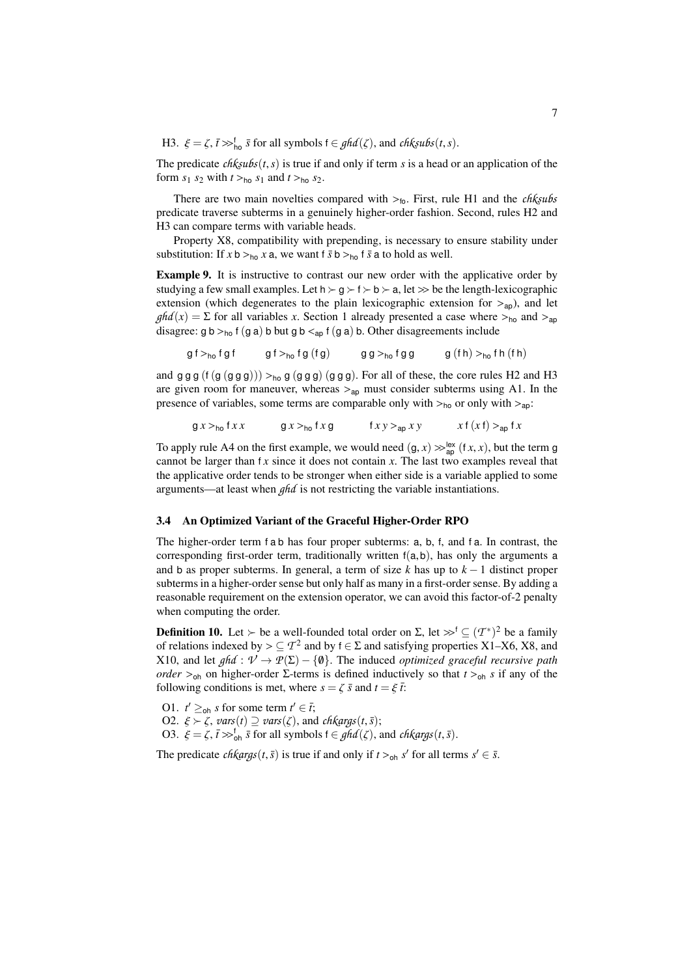<span id="page-6-1"></span>H3.  $\xi = \zeta$ ,  $\bar{t} \gg_{\text{ho}}^{\text{f}} \bar{s}$  for all symbols  $f \in \text{ghd}(\zeta)$ , and *chksubs*(*t*, *s*).

The predicate  $\text{ch}\xi\text{u}\text{b}\text{s}(t,s)$  is true if and only if term *s* is a head or an application of the form  $s_1$   $s_2$  with  $t >_{\text{ho}} s_1$  and  $t >_{\text{ho}} s_2$ .

There are two main novelties compared with >fo. First, rule [H1](#page-5-2) and the *chksubs* predicate traverse subterms in a genuinely higher-order fashion. Second, rules [H2](#page-5-3) and [H3](#page-6-1) can compare terms with variable heads.

Property [X8,](#page-3-2) compatibility with prepending, is necessary to ensure stability under substitution: If  $x$  b  $>_{h_0} x$  a, we want f  $\bar{s}$  b  $>_{h_0}$  f  $\bar{s}$  a to hold as well.

<span id="page-6-5"></span>Example 9. It is instructive to contrast our new order with the applicative order by studying a few small examples. Let  $h \succ q \succ f \succ b \succ a$ , let  $\gg b$  be the length-lexicographic extension (which degenerates to the plain lexicographic extension for  $>_{\text{an}}$ ), and let  $ghd(x) = \sum$  for all variables *x*. Section [1](#page-0-0) already presented a case where  $>_{ho}$  and  $>_{ap}$ disagree: g b ><sub>ho</sub> f (g a) b but g b <<sub>ap</sub> f (g a) b. Other disagreements include

$$
gf >_{ho} fgf
$$
  $gf >_{ho} fg(fg)$   $gg >_{ho} fgg$   $g(fh) >_{ho} fh(fh)$ 

and  $gg g (f (g (gg g))) >_{ho} g (gg g) (gg g)$ . For all of these, the core rules [H2](#page-5-3) and [H3](#page-6-1) are given room for maneuver, whereas  $>_{\text{ap}}$  must consider subterms using [A1.](#page-5-4) In the presence of variables, some terms are comparable only with  $>_{ho}$  or only with  $>_{ao}$ :

$$
g x >_{\text{ho}} f x x
$$
  $g x >_{\text{ho}} f x g$   $f x y >_{\text{ap}} x y$   $x f (x f) >_{\text{ap}} f x$ 

To apply rule [A4](#page-5-5) on the first example, we would need  $(g, x) \gg_{ap}^{\text{lex}} (f, x, x)$ , but the term g<br>cannot be larger than f *x* since it does not contain *x*. The last two examples reveal that cannot be larger than  $f(x)$  since it does not contain  $x$ . The last two examples reveal that the applicative order tends to be stronger when either side is a variable applied to some arguments—at least when *ghd* is not restricting the variable instantiations.

#### <span id="page-6-0"></span>3.4 An Optimized Variant of the Graceful Higher-Order RPO

The higher-order term f a b has four proper subterms: <sup>a</sup>, <sup>b</sup>, <sup>f</sup>, and f a. In contrast, the corresponding first-order term, traditionally written  $f(a,b)$ , has only the arguments a and b as proper subterms. In general, a term of size  $k$  has up to  $k-1$  distinct proper subterms in a higher-order sense but only half as many in a first-order sense. By adding a reasonable requirement on the extension operator, we can avoid this factor-of-2 penalty when computing the order.

**Definition 10.** Let  $\succ$  be a well-founded total order on  $\Sigma$ , let  $\gg^f$  ⊆  $(T^*)^2$  be a family of relations indexed by  $\succ \subset T^2$  and by  $f \in \Sigma$  and satisfying properties  $X1 - X6$   $X8$  and of relations indexed by > ⊆  $T^2$  and by  $f \in \Sigma$  and satisfying properties [X1–](#page-3-7)[X6,](#page-3-5) [X8,](#page-3-2) and  $X10$ , and let  $ab$   $f : \mathcal{V} \rightarrow \mathcal{P}(\Sigma) = \{0\}$ . The induced *optimized graceful recursive path* [X10,](#page-3-6) and let *ghd* :  $V \rightarrow P(\Sigma) - \{0\}$ . The induced *optimized graceful recursive path order*  $>_{oh}$  on higher-order Σ-terms is defined inductively so that  $t >_{oh} s$  if any of the following conditions is met, where  $s = \zeta \bar{s}$  and  $t = \xi \bar{t}$ .

<span id="page-6-4"></span><span id="page-6-3"></span><span id="page-6-2"></span>O1.  $t' \geq_{\text{oh}} s$  for some term  $t' \in \overline{t}$ ; O2.  $\xi > \zeta$ ,  $vars(t) \supseteq vars(\zeta)$ , and *chkargs*(*t*, *s*); O3.  $\xi = \zeta$ ,  $\bar{t} \gg_{\text{oh}}^{\text{f}} \bar{s}$  for all symbols  $f \in \text{ghd}(\zeta)$ , and *chkargs*(*t*,  $\bar{s}$ ).

The predicate *chkargs*(*t*,*s*̄) is true if and only if  $t >_{oh} s'$  for all terms  $s' \in \overline{s}$ .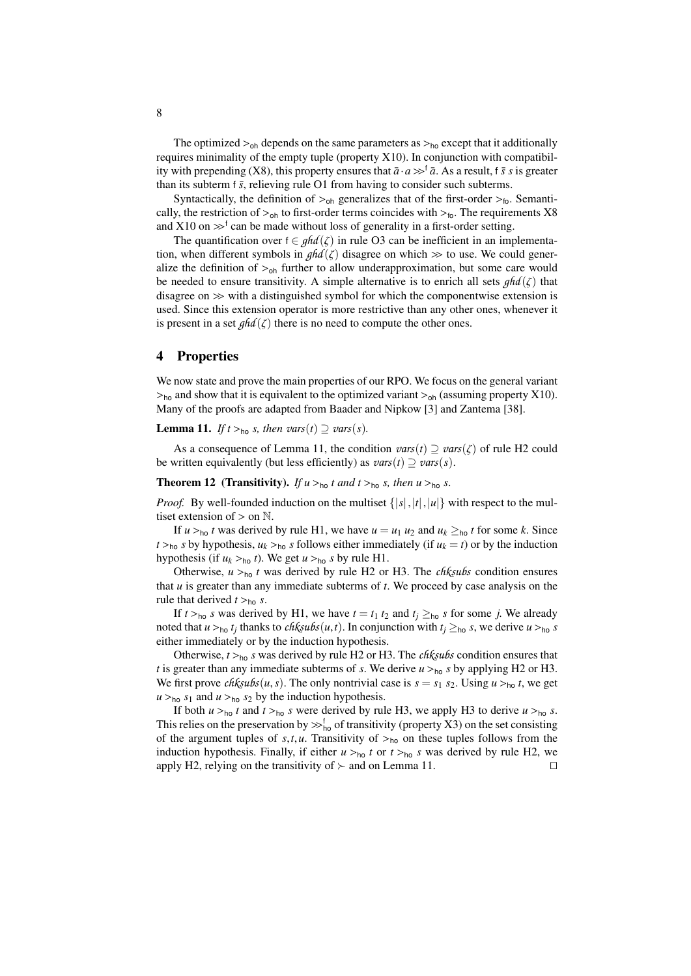The optimized  $>_{oh}$  depends on the same parameters as  $>_{ho}$  except that it additionally requires minimality of the empty tuple (property [X10\)](#page-3-6). In conjunction with compatibil-ity with prepending [\(X8\)](#page-3-2), this property ensures that  $\bar{a} \cdot a \gg^{\dagger} \bar{a}$ . As a result, f  $\bar{s}$  *s* is greater than its subterm f  $\bar{s}$ , relieving rule [O1](#page-6-2) from having to consider such subterms.

Syntactically, the definition of  $>_{oh}$  generalizes that of the first-order  $>_{fo}$ . Semantically, the restriction of  $>_{\text{oh}}$  to first-order terms coincides with  $>_{\text{fo}}$ . The requirements [X8](#page-3-2) and [X10](#page-3-6) on  $\gg^f$  can be made without loss of generality in a first-order setting.<br>The quantification over  $f \in \text{abd}(\zeta)$  in rule O3 can be inefficient in an im-

The quantification over  $f \in ghd(\zeta)$  in rule [O3](#page-6-3) can be inefficient in an implementation, when different symbols in  $ghd(\zeta)$  disagree on which  $\gg$  to use. We could generalize the definition of  $>_{\text{oh}}$  further to allow underapproximation, but some care would be needed to ensure transitivity. A simple alternative is to enrich all sets  $qhd(\zeta)$  that disagree on  $\gg$  with a distinguished symbol for which the componentwise extension is used. Since this extension operator is more restrictive than any other ones, whenever it is present in a set  $ghd(\zeta)$  there is no need to compute the other ones.

## <span id="page-7-0"></span>4 Properties

We now state and prove the main properties of our RPO. We focus on the general variant  $>_{\text{ho}}$  and show that it is equivalent to the optimized variant  $>_{\text{oh}}$  (assuming property [X10\)](#page-3-6). Many of the proofs are adapted from Baader and Nipkow [\[3\]](#page-15-3) and Zantema [\[38\]](#page-16-1).

<span id="page-7-1"></span>**Lemma 11.** *If*  $t >_{\text{ho}} s$ *, then*  $vars(t) \supseteq \text{vars}(s)$ *.* 

As a consequence of Lemma [11,](#page-7-1) the condition  $vars(t) \supseteq vars(\zeta)$  of rule [H2](#page-5-3) could be written equivalently (but less efficiently) as  $vars(t) \supseteq vars(s)$ .

## <span id="page-7-2"></span>**Theorem 12** (Transitivity). *If*  $u >_{\text{ho}} t$  *and*  $t >_{\text{ho}} s$ *, then*  $u >_{\text{ho}} s$ *.*

*Proof.* By well-founded induction on the multiset  $\{|s|, |t|, |u|\}$  with respect to the multiset extension of  $>$  on  $\mathbb N$ .

If  $u >_{\text{ho}} t$  was derived by rule [H1,](#page-5-2) we have  $u = u_1 u_2$  and  $u_k \ge_{\text{ho}} t$  for some *k*. Since  $t >_{h0} s$  by hypothesis,  $u_k >_{h0} s$  follows either immediately (if  $u_k = t$ ) or by the induction hypothesis (if  $u_k >_{\text{ho}} t$ ). We get  $u >_{\text{ho}} s$  by rule [H1.](#page-5-2)

Otherwise,  $u >_{\text{ho}} t$  was derived by rule [H2](#page-5-3) or [H3.](#page-6-1) The *chksubs* condition ensures that *<sup>u</sup>* is greater than any immediate subterms of *<sup>t</sup>*. We proceed by case analysis on the rule that derived  $t >_{\text{ho}} s$ .

If  $t >_{\text{ho}} s$  was derived by [H1,](#page-5-2) we have  $t = t_1 t_2$  and  $t_j \geq_{\text{ho}} s$  for some *j*. We already noted that  $u >_{\text{ho}} t_j$  thanks to *chksubs*(*u*,*t*). In conjunction with  $t_j \geq_{\text{ho}} s$ , we derive  $u >_{\text{ho}} s$  is either immediately or by the induction hypothesis.

Otherwise, *<sup>t</sup>* <sup>&</sup>gt;ho *<sup>s</sup>* was derived by rule [H2](#page-5-3) or [H3.](#page-6-1) The *chksubs* condition ensures that *t* is greater than any immediate subterms of *s*. We derive  $u >_{\text{ho}} s$  by applying [H2](#page-5-3) or [H3.](#page-6-1) We first prove *chksubs*(*u*,*s*). The only nontrivial case is  $s = s_1 s_2$ . Using  $u >_{\text{ho}} t$ , we get  $u >_{\text{ho}} s_1$  and  $u >_{\text{ho}} s_2$  by the induction hypothesis.

<span id="page-7-3"></span>If both  $u >_{h_0} t$  and  $t >_{h_0} s$  were derived by rule [H3,](#page-6-1) we apply [H3](#page-6-1) to derive  $u >_{h_0} s$ . This relies on the preservation by  $\gg_{h_0}^{\dagger}$  of transitivity (property [X3\)](#page-3-4) on the set consisting of the argument tuples of s t u. Transitivity of  $\gtrsim_{h_0}$  on these tuples follows from the of the argument tuples of  $s, t, u$ . Transitivity of  $>_{h_0}$  on these tuples follows from the induction hypothesis. Finally, if either  $u >_{h_0} t$  or  $t >_{h_0} s$  was derived by rule [H2,](#page-5-3) we apply H2, relying on the transitivity of  $\succ$  and on Lemma 11. apply [H2,](#page-5-3) relying on the transitivity of  $\succ$  and on Lemma [11.](#page-7-1)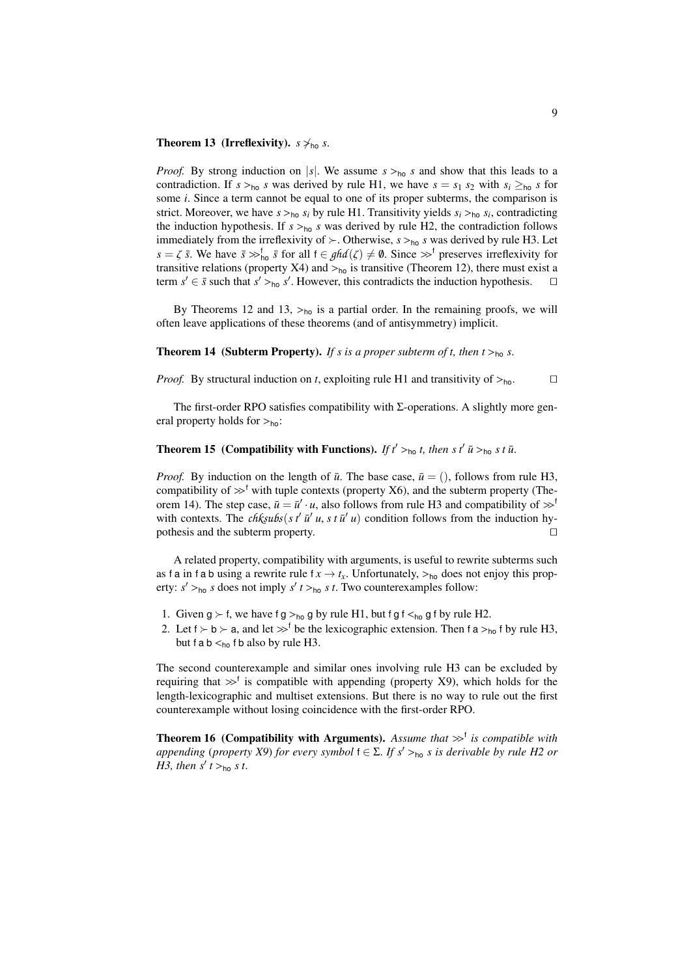## **Theorem 13 (Irreflexivity).**  $s \nsim_{ho} s$ .

*Proof.* By strong induction on |s|. We assume  $s >_{h_0} s$  and show that this leads to a contradiction. If  $s >_{\text{ho}} s$  was derived by rule [H1,](#page-5-2) we have  $s = s_1 s_2$  with  $s_i \geq_{\text{ho}} s$  for some *<sup>i</sup>*. Since a term cannot be equal to one of its proper subterms, the comparison is strict. Moreover, we have  $s >_{h_0} s_i$  by rule [H1.](#page-5-2) Transitivity yields  $s_i >_{h_0} s_i$ , contradicting the induction hypothesis. If  $s >_{h_0} s$  was derived by rule H2, the contradiction follows the induction hypothesis. If  $s >_{\text{ho}} s$  was derived by rule [H2,](#page-5-3) the contradiction follows immediately from the irreflexivity of  $\succ$ . Otherwise,  $s >_{\text{ho}} s$  was derived by rule [H3.](#page-6-1) Let  $s = \zeta \bar{s}$ . We have  $\bar{s} \gg_{\bar{b}}^{\bar{b}} \bar{s}$  for all  $f \in \mathcal{G}hd(\zeta) \neq \emptyset$ . Since  $\gg^{\bar{b}}$  preserves irreflexivity for transitive relations (property X4) and  $\sim$  is transitive (Theorem 12) there must exist a transitive relations (property [X4\)](#page-3-8) and  $>_{\text{ho}}$  is transitive (Theorem [12\)](#page-7-2), there must exist a term  $s' \in \overline{s}$  such that  $s' >_{\text{ho}} s'$ . However, this contradicts the induction hypothesis. term  $s' \in \bar{s}$  such that  $s' >_{\text{ho}} s'$ . However, this contradicts the induction hypothesis.  $\square$ 

By Theorems [12](#page-7-2) and [13,](#page-7-3)  $>_{h0}$  is a partial order. In the remaining proofs, we will often leave applications of these theorems (and of antisymmetry) implicit.

### <span id="page-8-0"></span>**Theorem 14** (Subterm Property). If *s* is a proper subterm of *t*, then  $t >_{\text{ho}} s$ .

*Proof.* By structural induction on *t*, exploiting rule [H1](#page-5-2) and transitivity of  $>_{ho}$ .

The first-order RPO satisfies compatibility with  $\Sigma$ -operations. A slightly more general property holds for  $>_{ho}$ :

# **Theorem 15** (Compatibility with Functions). *If*  $t' >_{\text{ho}} t$ , then *s*  $t'$  *u*̃ $>_{\text{ho}} s t$  *u*̃.

*Proof.* By induction on the length of  $\bar{u}$ . The base case,  $\bar{u} = ($ , follows from rule [H3,](#page-6-1) compatibility of  $\gg^f$  with tuple contexts (property [X6\)](#page-3-5), and the subterm property (The-orem [14\)](#page-8-0). The step case,  $\bar{u} = \bar{u}' \cdot u$ , also follows from rule [H3](#page-6-1) and compatibility of  $\gg^{\dagger}$ <br>with contexts. The *chksubs*(s  $t'$   $\bar{u}'$ , u, s,t  $\bar{u}'$ , u) condition follows from the induction bywith contexts. The  $ch\frac{k_5u}{s_5'}$   $s t^2 \bar{u}' u$ ,  $s t \bar{u}' u$  condition follows from the induction hy-<br>nothesis and the subterm property pothesis and the subterm property.  $\Box$ 

A related property, compatibility with arguments, is useful to rewrite subterms such as f a in f a b using a rewrite rule  $f x \rightarrow t_x$ . Unfortunately,  $>_{\text{ho}}$  does not enjoy this property:  $s' >_{\text{ho}} s$  does not imply  $s'$   $t >_{\text{ho}} s$   $t$ . Two counterexamples follow:

- 1. Given  $g \succ f$ , we have  $fg >_{ho} g$  by rule [H1,](#page-5-2) but f g f  $\lt_{ho} g$  f by rule [H2.](#page-5-3)
- 2. Let  $f \succ b \succ a$ , and let  $\gg^f$  be the lexicographic extension. Then f a  $>_{ho}$  f by rule [H3,](#page-6-1) but f a b  $\leq_{ho}$  f b also by rule [H3.](#page-6-1)

The second counterexample and similar ones involving rule [H3](#page-6-1) can be excluded by requiring that  $\gg^f$  is compatible with appending (property [X9\)](#page-3-1), which holds for the first<br>length-lexicographic and multiset extensions. But there is no way to rule out the first length-lexicographic and multiset extensions. But there is no way to rule out the first counterexample without losing coincidence with the first-order RPO.

<span id="page-8-1"></span>**Theorem 16 (Compatibility with Arguments).** Assume that  $\gg^{\dagger}$  is compatible with annending (property X9) for every symbol  $f \in \sum F s' \geq \mu$ , s is derivable by rule H2 or *appending* (*property X9*) *for every symbol*  $f \in \Sigma$ *. If*  $s' >_{\text{ho}} s$  *is derivable by rule H2 or H3 than*  $s' t >_{\text{e}} s t$ *[H3,](#page-6-1)* then  $s'$   $t >_{\text{ho}} s$   $t$ .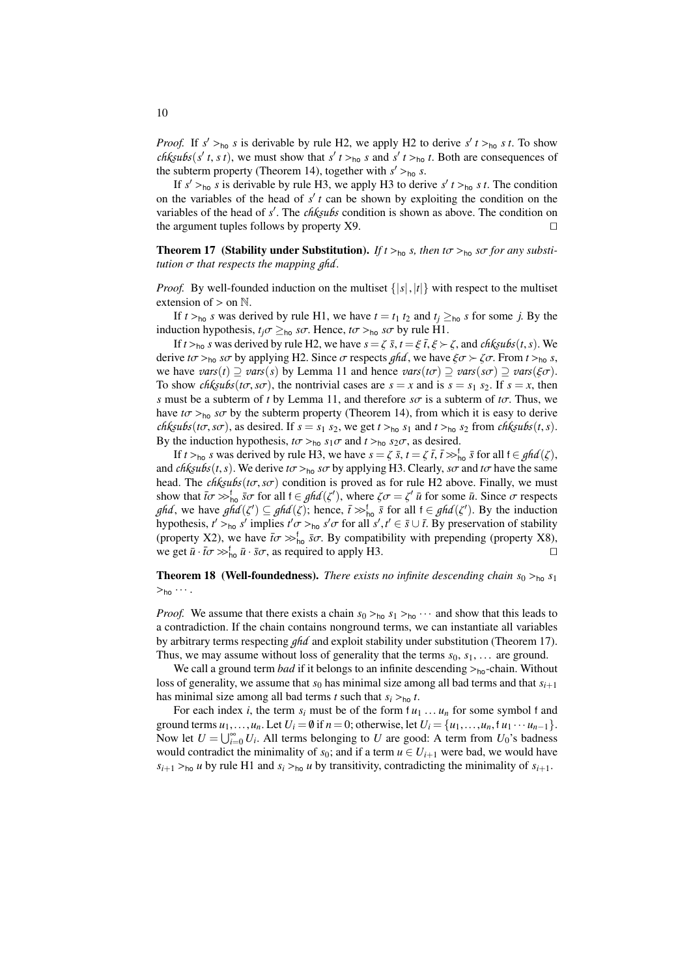*Proof.* If  $s' >_{\text{ho}} s$  is derivable by rule [H2,](#page-5-3) we apply [H2](#page-5-3) to derive  $s' t >_{\text{ho}} s t$ . To show cheople  $s' t >_{\text{rho}} s t$ , we must show that  $s' t >_{\text{rho}} s$  and  $s' t >_{\text{rho}} t$ . Both are consequences of *chksubs*(*s' t*, *s t*), we must show that  $s'$  *t* ><sub>ho</sub> *s* and  $s'$  *t* ><sub>ho</sub> *t*. Both are consequences of the subterm property (Theorem 14), together with  $s'$  > s the subterm property (Theorem [14\)](#page-8-0), together with  $s' >_{\text{ho}} s$ .<br>
If  $s' >_{\text{ho}} s$  is derivable by rule H<sub>3</sub> we apply H<sub>3</sub> to derivate

If  $s' >_{h_0} s$  is derivable by rule [H3,](#page-6-1) we apply [H3](#page-6-1) to derive  $s' t >_{h_0} s t$ . The condition<br>the variables of the head of  $s' t$  can be shown by exploiting the condition on the on the variables of the head of  $s'$  t can be shown by exploiting the condition on the variables of the head of *s'*. The *chksubs* condition is shown as above. The condition on the argument tuples follows by property  $X9$ the argument tuples follows by property  $X9$ .

<span id="page-9-0"></span>**Theorem 17** (Stability under Substitution). *If*  $t >_{\text{ho}} s$ , then  $t\sigma >_{\text{ho}} s\sigma$  for any substi*tution* σ *that respects the mapping ghd .*

*Proof.* By well-founded induction on the multiset  $\{|s|, |t|\}$  with respect to the multiset extension of  $>$  on  $\mathbb N$ .

If  $t >_{\text{ho}} s$  was derived by rule [H1,](#page-5-2) we have  $t = t_1 t_2$  and  $t_i \geq_{\text{ho}} s$  for some *j*. By the induction hypothesis,  $t_j \sigma \geq_{\text{ho}} s\sigma$ . Hence,  $t\sigma >_{\text{ho}} s\sigma$  by rule [H1.](#page-5-2)

If  $t >_{\text{ho}} s$  was derived by rule [H2,](#page-5-3) we have  $s = \zeta \bar{s}$ ,  $t = \xi \bar{t}$ ,  $\xi > \zeta$ , and *chksubs*(*t*, *s*). We derive  $t\sigma >_{\text{ho}} s\sigma$  by applying [H2.](#page-5-3) Since  $\sigma$  respects *ghd*, we have  $\xi \sigma > \zeta \sigma$ . From  $t >_{\text{ho}} s$ , we have  $vars(t) \supseteq vars(s)$  by Lemma [11](#page-7-1) and hence  $vars(t\sigma) \supseteq vars(s\sigma) \supseteq vars(\xi\sigma)$ . To show *chksubs*( $t\sigma$ ,  $s\sigma$ ), the nontrivial cases are  $s = x$  and is  $s = s_1 s_2$ . If  $s = x$ , then *s* must be a subterm of *t* by Lemma [11,](#page-7-1) and therefore  $s\sigma$  is a subterm of  $t\sigma$ . Thus, we have  $t\sigma >_{\text{ho}} s\sigma$  by the subterm property (Theorem [14\)](#page-8-0), from which it is easy to derive *chksubs*(*t* $\sigma$ ,*s* $\sigma$ ), as desired. If  $s = s_1 s_2$ , we get  $t >_{\text{ho}} s_1$  and  $t >_{\text{ho}} s_2$  from *chksubs*(*t*,*s*). By the induction hypothesis,  $t\sigma >_{\text{ho}} s_1\sigma$  and  $t >_{\text{ho}} s_2\sigma$ , as desired.

If *t* >ho *s* was derived by rule [H3,](#page-6-1) we have  $s = \zeta \bar{s}$ ,  $t = \zeta \bar{t}$ ,  $\bar{t} >$ <sup>s</sup> for all  $t \in ghd(\zeta)$ , *chicubetts*). We derive  $t\tau >$ , so by applying H3. Clearly, so and  $t\tau$  have the same and *chksubs*(*t*,*s*). We derive  $t\sigma$  ><sub>ho</sub> *s* $\sigma$  by applying [H3.](#page-6-1) Clearly, *s* $\sigma$  and  $t\sigma$  have the same head. The *chksubs*(*t*σ,*s*σ) condition is proved as for rule [H2](#page-5-3) above. Finally, we must show that  $\bar{t}\sigma \gg_{\text{ho}}^{\text{f}} \bar{s}\sigma$  for all  $f \in \mathfrak{ghd}(\zeta')$ , where  $\zeta \sigma = \zeta' \bar{u}$  for some  $\bar{u}$ . Since  $\sigma$  respects  $\sigma$  *and* ( $z'$ )  $\bar{c}$  and  $\sigma$  *c* and  $\sigma$  *c u c n and* ( $z'$ )  $\bar{c}$  *and* ( $z$ *ghd*, we have  $ghd(\zeta') \subseteq ghd(\zeta)$ ; hence,  $\bar{t} \gg_{\text{ho}}^{\text{f}} \bar{s}$  for all  $f \in ghd(\zeta')$ . By the induction by property  $f \sim_{\text{e}} s'$  implies  $f' \sim_{\text{e}} s'$  for all  $s' \neq \bar{s} \sqcup \bar{t}$ . By preservation of stability hypothesis,  $t' >_{\text{ho}} s'$  implies  $t' \sigma >_{\text{ho}} s' \sigma$  for all  $s', t' \in \bar{s} \cup \bar{t}$ . By preservation of stability (property X2), we have  $\bar{t} \sigma \propto_{\bar{s}}^{\bar{t}} \bar{s} \sigma$ . By compatibility with prepending (property X2) (property [X2\)](#page-3-9), we have  $\bar{t}\sigma \gg_{\ln 0}^{\hbar} \bar{s}\sigma$ . By compatibility with prepending (property [X8\)](#page-3-2), we get  $\bar{u}$ ,  $\bar{t}\sigma \gg_{\ln 0}^{\hbar} \bar{u}$ ,  $\bar{s}\sigma$ , as required to apply H3 we get  $\bar{u} \cdot \bar{t}\sigma \gg_{\text{ho}}^{\text{f}} \bar{u} \cdot \bar{s}\sigma$ , as required to apply [H3.](#page-6-1)

# **Theorem 18 (Well-foundedness).** *There exists no infinite descending chain*  $s_0 >_{h_0} s_1$  $>_{ho} \cdots$ .

*Proof.* We assume that there exists a chain  $s_0 >_{h_0} s_1 >_{h_0} \cdots$  and show that this leads to a contradiction. If the chain contains nonground terms, we can instantiate all variables by arbitrary terms respecting *ghd* and exploit stability under substitution (Theorem [17\)](#page-9-0). Thus, we may assume without loss of generality that the terms  $s_0, s_1, \ldots$  are ground.

We call a ground term *bad* if it belongs to an infinite descending  $>_{ho}$ -chain. Without loss of generality, we assume that  $s_0$  has minimal size among all bad terms and that  $s_{i+1}$ has minimal size among all bad terms *t* such that  $s_i >_{\text{ho}} t$ .

For each index *i*, the term  $s_i$  must be of the form  $t u_1 \ldots u_n$  for some symbol f and ground terms  $u_1, \ldots, u_n$ . Let  $U_i = \emptyset$  if  $n = 0$ ; otherwise, let  $U_i = \{u_1, \ldots, u_n, u_1 \cdots u_{n-1}\}.$ Now let  $U = \bigcup_{i=0}^{\infty} U_i$ . All terms belonging to *U* are good: A term from  $U_0$ 's badness would contradict the minimality of sould if a term  $u \in U_0$ , were had we would have would contradict the minimality of  $s_0$ ; and if a term  $u \in U_{i+1}$  were bad, we would have  $s_{i+1} >_{\text{ho}} u$  by rule [H1](#page-5-2) and  $s_i >_{\text{ho}} u$  by transitivity, contradicting the minimality of  $s_{i+1}$ .

10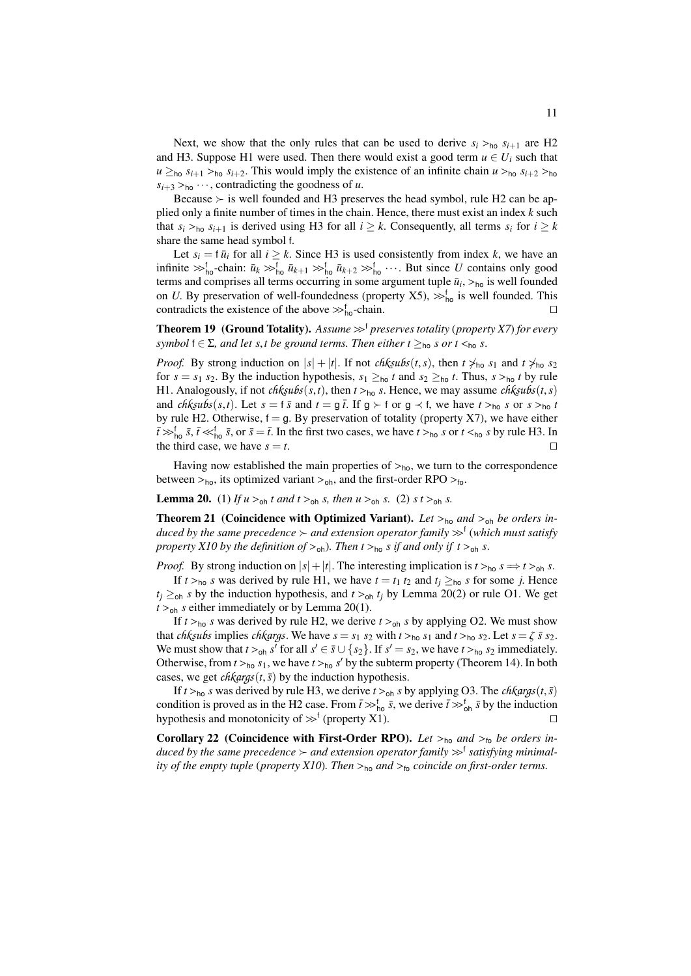Next, we show that the only rules that can be used to derive  $s_i >_{\text{ho}} s_{i+1}$  are [H2](#page-5-3) and [H3.](#page-6-1) Suppose [H1](#page-5-2) were used. Then there would exist a good term  $u \in U_i$  such that  $u \geq_{\text{ho}} s_{i+1} >_{\text{ho}} s_{i+2}$ . This would imply the existence of an infinite chain  $u >_{\text{ho}} s_{i+2} >_{\text{ho}} s_{i+1}$  $s_{i+3} >_{\text{ho}} \cdots$ , contradicting the goodness of *u*.

Because  $\succ$  is well founded and [H3](#page-6-1) preserves the head symbol, rule [H2](#page-5-3) can be applied only a finite number of times in the chain. Hence, there must exist an index *k* such that  $s_i >_{\text{ho}} s_{i+1}$  is derived using [H3](#page-6-1) for all  $i \geq k$ . Consequently, all terms  $s_i$  for  $i \geq k$ share the same head symbol <sup>f</sup>.

Let  $s_i = \overline{u}_i$  for all  $i \geq k$ . Since [H3](#page-6-1) is used consistently from index *k*, we have an infinite  $\gg_{h_0}^f$ -chain:  $\bar{u}_k \gg_{h_0}^f \bar{u}_{k+1} \gg_{h_0}^f \bar{u}_{k+2} \gg_{h_0}^f \cdots$ . But since *U* contains only good terms and comprises all terms occurring in some argument tuple  $\bar{u}_i$ ,  $>_{h_0}$  is well founded<br>on *U* By preservation of well-foundedness (property X5)  $\searrow$ <sup>f</sup> is well founded. This on *U*. By preservation of well-foundedness (property [X5\)](#page-3-0),  $\gg_{\text{ho}}^{\text{f}}$  is well founded. This contradicts the existence of the above  $\gg_{\text{c}}^{\text{f}}$  -chain contradicts the existence of the above  $\gg_{\text{ho}}^f$ -chain.

**Theorem 19** (Ground Totality). Assume  $\gg^{\dagger}$  preserves totality (property *X7*) for every *symbol*  $f \in \Sigma$ , and let *s*,*t* be ground terms. Then either  $t \geq_{\text{ho}} s$  *or*  $t \leq_{\text{ho}} s$ .

*Proof.* By strong induction on  $|s| + |t|$ . If not *chksubs*(*t*,*s*), then  $t \neq_{\text{no}} s_1$  and  $t \neq_{\text{no}} s_2$ for  $s = s_1 s_2$ . By the induction hypothesis,  $s_1 \geq_{\text{ho}} t$  and  $s_2 \geq_{\text{ho}} t$ . Thus,  $s >_{\text{ho}} t$  by rule [H1.](#page-5-2) Analogously, if not *chksubs*(*s*,*t*), then  $t >_{\text{ho}} s$ . Hence, we may assume *chksubs*(*t*,*s*) and *chksubs*(*s*,*t*). Let  $s = f \bar{s}$  and  $t = g \bar{t}$ . If  $g \succ f$  or  $g \prec f$ , we have  $t >_{\text{ho}} s$  or  $s >_{\text{ho}} t$ by rule [H2.](#page-5-3) Otherwise,  $f = g$ . By preservation of totality (property [X7\)](#page-3-3), we have either  $\bar{t}$   $\gg$   $_{\text{ho}}^{\text{f}}$ ,  $\bar{s}$ ,  $\bar{t}$   $\ll$   $_{\text{ho}}^{\text{f}}$ ,  $\bar{s}$ , or  $\bar{s} = \bar{t}$ . In the first two cases, we have  $t$   $>$ <sub>ho</sub> *s* or  $t$   $\ll$ <sub>ho</sub> *s* by rule [H3.](#page-6-1) In the third case, we have  $s - t$ the third case, we have  $s = t$ .

Having now established the main properties of  $>_{ho}$ , we turn to the correspondence between  $>_{ho}$ , its optimized variant  $>_{oh}$ , and the first-order RPO  $>_{fo}$ .

<span id="page-10-0"></span>**Lemma 20.** (1) *If*  $u >_{oh} t$  *and*  $t >_{oh} s$ *, then*  $u >_{oh} s$ *.* (2)  $s t >_{oh} s$ *.* 

**Theorem 21** (Coincidence with Optimized Variant). Let  $>_{ho}$  and  $>_{oh}$  be orders induced by the same precedence  $\succ$  and extension operator family  $\gg^{\dagger}$  (which must satisfy<br>property X10 by the definition of  $\searrow$ .) Then  $t \searrow$ , s if and only if  $t \searrow$ , s *property X10 by the definition of*  $>_{\text{oh}}$ *). Then*  $t>_{\text{ho}} s$  *if and only if*  $t>_{\text{oh}} s$ .

*Proof.* By strong induction on  $|s| + |t|$ . The interesting implication is  $t >_{\text{ho}} s \implies t >_{\text{oh}} s$ .

If  $t >_{\text{ho}} s$  was derived by rule [H1,](#page-5-2) we have  $t = t_1 t_2$  and  $t_i \geq_{\text{ho}} s$  for some *j*. Hence  $t_i \geq_{\text{oh}} s$  by the induction hypothesis, and  $t >_{\text{oh}} t_i$  by Lemma [20\(](#page-10-0)2) or rule [O1.](#page-6-2) We get  $t >_{oh} s$  either immediately or by Lemma [20\(](#page-10-0)1).

If  $t >_{\text{ho}} s$  was derived by rule [H2,](#page-5-3) we derive  $t >_{\text{oh}} s$  by applying [O2.](#page-6-4) We must show that *chksubs* implies *chkargs*. We have  $s = s_1 s_2$  with  $t >_{h_0} s_1$  and  $t >_{h_0} s_2$ . Let  $s = \zeta \bar{s} s_2$ . We must show that  $t >_{\text{ob}} s^T$  for all  $s' \in \overline{s} \cup \{s_2\}$ . If  $s' = s_2$ , we have  $t >_{\text{bo}} s_2$  immediately. Otherwise, from  $t >_{h_0} s_1$ , we have  $t >_{h_0} s'$  by the subterm property (Theorem [14\)](#page-8-0). In both cases, we get chkaras( $t \bar{s}$ ) by the induction hypothesis cases, we get *chkargs*( $t$ , $\bar{s}$ ) by the induction hypothesis.

If  $t >_{\text{ho}} s$  was derived by rule [H3,](#page-6-1) we derive  $t >_{\text{oh}} s$  by applying [O3.](#page-6-3) The *chkargs*(*t*,  $\bar{s}$ ) condition is proved as in the [H2](#page-5-3) case. From  $\bar{t} \gg_{\text{ho}}^{\dagger} \bar{s}$ , we derive  $\bar{t} \gg_{\text{oh}}^{\dagger} \bar{s}$  by the induction by pothesis and monotonicity of  $\gg_{\text{t}}^{\dagger}$  (property X1) hypothesis and monotonicity of  $\gg^{\dagger}$  (property [X1\)](#page-3-7).

Corollary 22 (Coincidence with First-Order RPO). Let  $>_{h0}$  and  $>_{h0}$  be orders induced by the same precedence  $\succ$  and extension operator family  $\gg^{\dagger}$  satisfying minimal-<br>*ity of the empty tuple* (property X10). Then  $\searrow$  and  $\searrow$  coincide on first-order terms *ity of the empty tuple* (*property [X10](#page-3-6)*)*. Then* <sup>&</sup>gt;ho *and* <sup>&</sup>gt;fo *coincide on first-order terms.*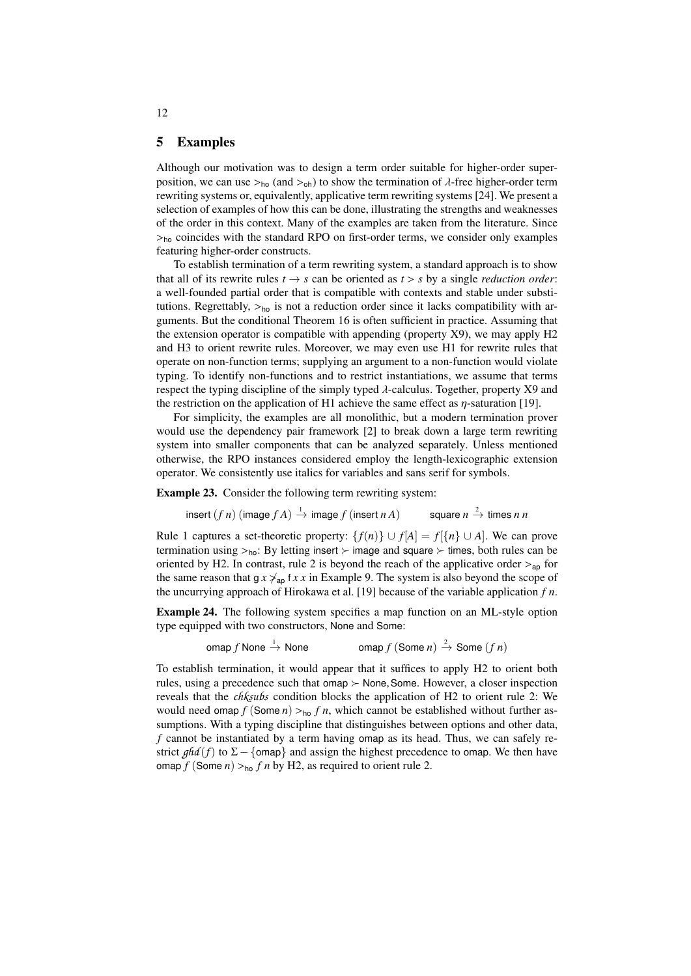# <span id="page-11-0"></span>5 Examples

Although our motivation was to design a term order suitable for higher-order superposition, we can use  $>_{ho}$  (and  $>_{oh}$ ) to show the termination of  $\lambda$ -free higher-order term rewriting systems or, equivalently, applicative term rewriting systems [\[24\]](#page-16-10). We present a selection of examples of how this can be done, illustrating the strengths and weaknesses of the order in this context. Many of the examples are taken from the literature. Since  $>_{h_0}$  coincides with the standard RPO on first-order terms, we consider only examples featuring higher-order constructs.

To establish termination of a term rewriting system, a standard approach is to show that all of its rewrite rules  $t \rightarrow s$  can be oriented as  $t > s$  by a single *reduction order*: a well-founded partial order that is compatible with contexts and stable under substitutions. Regrettably,  $>_{h_0}$  is not a reduction order since it lacks compatibility with arguments. But the conditional Theorem [16](#page-8-1) is often sufficient in practice. Assuming that the extension operator is compatible with appending (property [X9\)](#page-3-1), we may apply [H2](#page-5-3) and [H3](#page-6-1) to orient rewrite rules. Moreover, we may even use [H1](#page-5-2) for rewrite rules that operate on non-function terms; supplying an argument to a non-function would violate typing. To identify non-functions and to restrict instantiations, we assume that terms respect the typing discipline of the simply typed  $\lambda$ -calculus. Together, property [X9](#page-3-1) and the restriction on the application of [H1](#page-5-2) achieve the same effect as  $n$ -saturation [\[19\]](#page-15-4).

For simplicity, the examples are all monolithic, but a modern termination prover would use the dependency pair framework [\[2\]](#page-15-12) to break down a large term rewriting system into smaller components that can be analyzed separately. Unless mentioned otherwise, the RPO instances considered employ the length-lexicographic extension operator. We consistently use italics for variables and sans serif for symbols.

<span id="page-11-1"></span>Example 23. Consider the following term rewriting system:

 $\mathsf{insert}\,(f\,n)\,(\mathsf{image}\,f\,A)\stackrel{1}{\to}\mathsf{image}\,f\,(\mathsf{insert}\,n\,A) \qquad\quad \mathsf{square}\,n$ square  $n \stackrel{2}{\rightarrow}$  times *n n* 

Rule 1 captures a set-theoretic property:  $\{f(n)\} \cup f[A] = f[\{n\} \cup A]$ . We can prove termination using  $>_{ho}$ : By letting insert  $\succ$  image and square  $\succ$  times, both rules can be oriented by [H2.](#page-5-3) In contrast, rule 2 is beyond the reach of the applicative order  $>_{ap}$  for the same reason that  $gx \nless a_n$  f *x x* in Example [9.](#page-6-5) The system is also beyond the scope of the uncurrying approach of Hirokawa et al. [\[19\]](#page-15-4) because of the variable application *f n*.

<span id="page-11-2"></span>Example 24. The following system specifies a map function on an ML-style option type equipped with two constructors, None and Some:

> omap  $f$  None  $\stackrel{1}{\rightarrow}$  None omap  $f$  (Some  $n \to 2$ ) Some  $(f n)$

To establish termination, it would appear that it suffices to apply [H2](#page-5-3) to orient both rules, using a precedence such that omap  $\succeq$  None, Some. However, a closer inspection reveals that the *chksubs* condition blocks the application of [H2](#page-5-3) to orient rule 2: We would need omap  $f$  (Some  $n$ )  $>_{\text{ho}} f$  n, which cannot be established without further assumptions. With a typing discipline that distinguishes between options and other data, *f* cannot be instantiated by a term having omap as its head. Thus, we can safely restrict  $ghd(f)$  to  $\Sigma - \{\text{omap}\}\$ and assign the highest precedence to omap. We then have omap  $f$  (Some  $n$ ) > ho  $f$   $n$  by [H2,](#page-5-3) as required to orient rule 2.

12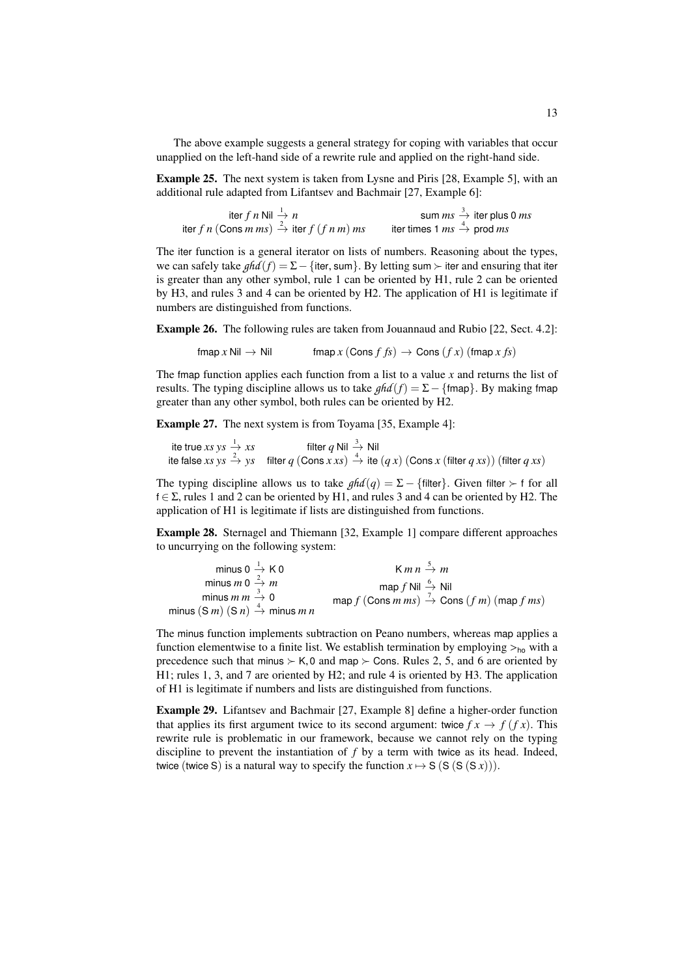The above example suggests a general strategy for coping with variables that occur unapplied on the left-hand side of a rewrite rule and applied on the right-hand side.

<span id="page-12-2"></span>Example 25. The next system is taken from Lysne and Piris [\[28,](#page-16-13) Example 5], with an additional rule adapted from Lifantsev and Bachmair [\[27,](#page-16-5) Example 6]:

| iter f n Nil $\stackrel{1}{\rightarrow} n$                         | sum $ms \stackrel{3}{\rightarrow}$ iter plus 0 ms   |
|--------------------------------------------------------------------|-----------------------------------------------------|
| iter f n (Cons m ms) $\stackrel{?}{\rightarrow}$ iter f (f n m) ms | iter times 1 $ms \stackrel{4}{\rightarrow}$ prod ms |

The iter function is a general iterator on lists of numbers. Reasoning about the types, we can safely take  $ghd(f) = \Sigma - \{$ iter, sum}. By letting sum  $\succ$  iter and ensuring that iter is greater than any other symbol, rule 1 can be oriented by [H1,](#page-5-2) rule 2 can be oriented by [H3,](#page-6-1) and rules 3 and 4 can be oriented by [H2.](#page-5-3) The application of [H1](#page-5-2) is legitimate if numbers are distinguished from functions.

Example 26. The following rules are taken from Jouannaud and Rubio [\[22,](#page-16-14) Sect. 4.2]:

$$
fmap x Nil \rightarrow Nil \qquad \text{fmap } x (Cons f fs) \rightarrow Cons (fx) (fmap x fs)
$$

The fmap function applies each function from a list to a value *x* and returns the list of results. The typing discipline allows us to take  $ghd(f) = \Sigma - \{fmap\}$ . By making fmap greater than any other symbol, both rules can be oriented by [H2.](#page-5-3)

<span id="page-12-3"></span>Example 27. The next system is from Toyama [\[35,](#page-16-8) Example 4]:

ite true  $xs$   $ys \stackrel{1}{\rightarrow} xs$  filter  $q$  Nil  $\stackrel{3}{\rightarrow}$  Nil ite false *xs*  $ys \stackrel{2}{\rightarrow} ys$  filter  $q$  (Cons  $x$  *xs*)  $\stackrel{4}{\rightarrow}$  ite  $(q x)$  (Cons  $x$  (filter  $q$  *xs*)) (filter  $q$  *xs*)

The typing discipline allows us to take  $ghd(q) = \Sigma - \{\text{filter}\}\)$ . Given filter  $\succ$  f for all  $f \in \Sigma$ , rules 1 and 2 can be oriented by [H1,](#page-5-2) and rules 3 and 4 can be oriented by [H2.](#page-5-3) The application of [H1](#page-5-2) is legitimate if lists are distinguished from functions.

<span id="page-12-0"></span>Example 28. Sternagel and Thiemann [\[32,](#page-16-15) Example 1] compare different approaches to uncurrying on the following system:

| minus $0 \stackrel{1}{\rightarrow} K 0$                          | $Kmn \stackrel{5}{\rightarrow} m$                                            |
|------------------------------------------------------------------|------------------------------------------------------------------------------|
| minus <i>m</i> 0 $\stackrel{2}{\rightarrow}$ <i>m</i>            | map f Nil $\stackrel{6}{\rightarrow}$ Nil                                    |
| minus $m m \stackrel{3}{\rightarrow} 0$                          | map $f$ (Cons $m$ ms) $\stackrel{7}{\rightarrow}$ Cons $(f m)$ (map $f ms$ ) |
| minus $(S m)$ $(S n) \stackrel{4}{\rightarrow}$ minus <i>m n</i> |                                                                              |

The minus function implements subtraction on Peano numbers, whereas map applies a function elementwise to a finite list. We establish termination by employing  $>_{ho}$  with a precedence such that minus  $\succ$  K,0 and map  $\succ$  Cons. Rules 2, 5, and 6 are oriented by [H1;](#page-5-2) rules 1, 3, and 7 are oriented by [H2;](#page-5-3) and rule 4 is oriented by [H3.](#page-6-1) The application of [H1](#page-5-2) is legitimate if numbers and lists are distinguished from functions.

<span id="page-12-4"></span><span id="page-12-1"></span>Example 29. Lifantsev and Bachmair [\[27,](#page-16-5) Example 8] define a higher-order function that applies its first argument twice to its second argument: twice  $f x \rightarrow f (f x)$ . This rewrite rule is problematic in our framework, because we cannot rely on the typing discipline to prevent the instantiation of *f* by a term with twice as its head. Indeed, twice (twice S) is a natural way to specify the function  $x \mapsto S$  (S (S  $(S(x))$ ).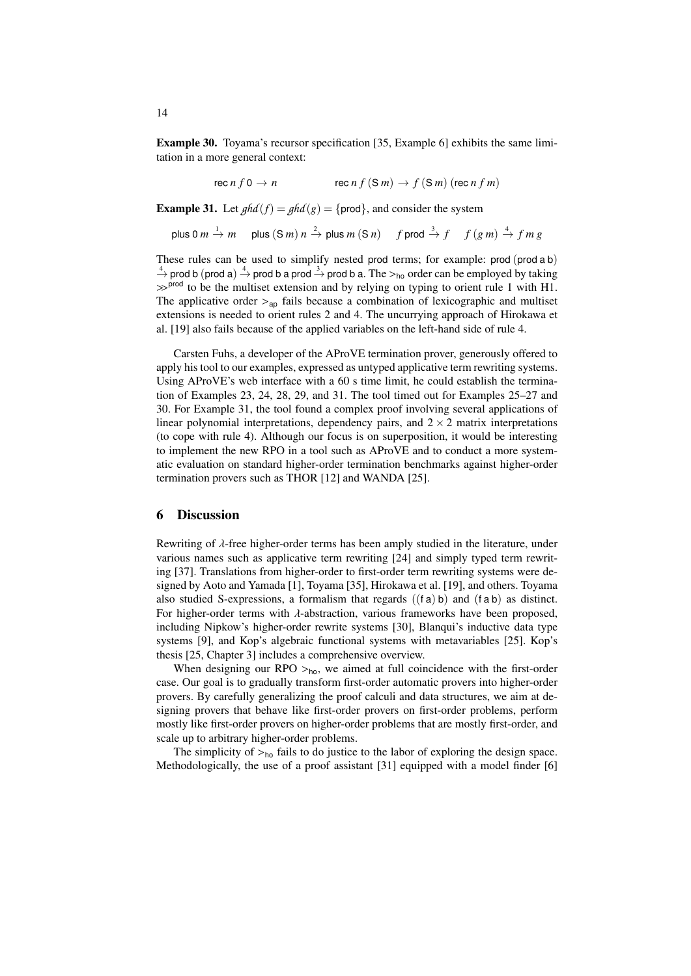Example 30. Toyama's recursor specification [\[35,](#page-16-8) Example 6] exhibits the same limitation in a more general context:

$$
\text{rec } n f 0 \to n \qquad \qquad \text{rec } n f (S m) \to f (S m) (\text{rec } n f m)
$$

<span id="page-13-0"></span>**Example 31.** Let  $ghd(f) = ghd(g) = \{ \text{prod} \}$ , and consider the system

plus 0 m 
$$
\stackrel{1}{\rightarrow}
$$
 m plus (S m) n  $\stackrel{2}{\rightarrow}$  plus m (S n) f prod  $\stackrel{3}{\rightarrow}$  f  $f(g m) \stackrel{4}{\rightarrow}$  f m g

These rules can be used to simplify nested prod terms; for example: prod (prod a b)  $\frac{4}{2}$  prod b (prod a)  $\frac{4}{2}$  prod b a prod  $\frac{3}{2}$  prod b a. The  $>_{h_0}$  order can be employed by taking<br>  $\frac{4}{2}$  prod to be the multiset extension and by relying on typing to orient rule 1 with H1  $\gg$ <sup>prod</sup> to be the multiset extension and by relying on typing to orient rule 1 with [H1.](#page-5-2) The applicative order  $>_{\text{ao}}$  fails because a combination of lexicographic and multiset extensions is needed to orient rules 2 and 4. The uncurrying approach of Hirokawa et al. [\[19\]](#page-15-4) also fails because of the applied variables on the left-hand side of rule 4.

Carsten Fuhs, a developer of the AProVE termination prover, generously offered to apply his tool to our examples, expressed as untyped applicative term rewriting systems. Using AProVE's web interface with a 60 s time limit, he could establish the termination of Examples [23,](#page-11-1) [24,](#page-11-2) [28,](#page-12-0) [29,](#page-12-1) and [31.](#page-13-0) The tool timed out for Examples [25](#page-12-2)[–27](#page-12-3) and [30.](#page-12-4) For Example [31,](#page-13-0) the tool found a complex proof involving several applications of linear polynomial interpretations, dependency pairs, and  $2 \times 2$  matrix interpretations (to cope with rule 4). Although our focus is on superposition, it would be interesting to implement the new RPO in a tool such as AProVE and to conduct a more systematic evaluation on standard higher-order termination benchmarks against higher-order termination provers such as THOR [\[12\]](#page-15-5) and WANDA [\[25\]](#page-16-4).

# 6 Discussion

Rewriting of  $\lambda$ -free higher-order terms has been amply studied in the literature, under various names such as applicative term rewriting [\[24\]](#page-16-10) and simply typed term rewriting [\[37\]](#page-16-16). Translations from higher-order to first-order term rewriting systems were designed by Aoto and Yamada [\[1\]](#page-15-13), Toyama [\[35\]](#page-16-8), Hirokawa et al. [\[19\]](#page-15-4), and others. Toyama also studied S-expressions, a formalism that regards  $((f a) b)$  and  $(f a b)$  as distinct. For higher-order terms with  $\lambda$ -abstraction, various frameworks have been proposed, including Nipkow's higher-order rewrite systems [\[30\]](#page-16-17), Blanqui's inductive data type systems [\[9\]](#page-15-14), and Kop's algebraic functional systems with metavariables [\[25\]](#page-16-4). Kop's thesis [\[25,](#page-16-4) Chapter 3] includes a comprehensive overview.

When designing our RPO  $>_{ho}$ , we aimed at full coincidence with the first-order case. Our goal is to gradually transform first-order automatic provers into higher-order provers. By carefully generalizing the proof calculi and data structures, we aim at designing provers that behave like first-order provers on first-order problems, perform mostly like first-order provers on higher-order problems that are mostly first-order, and scale up to arbitrary higher-order problems.

The simplicity of  $>_{h_0}$  fails to do justice to the labor of exploring the design space. Methodologically, the use of a proof assistant [\[31\]](#page-16-9) equipped with a model finder [\[6\]](#page-15-15)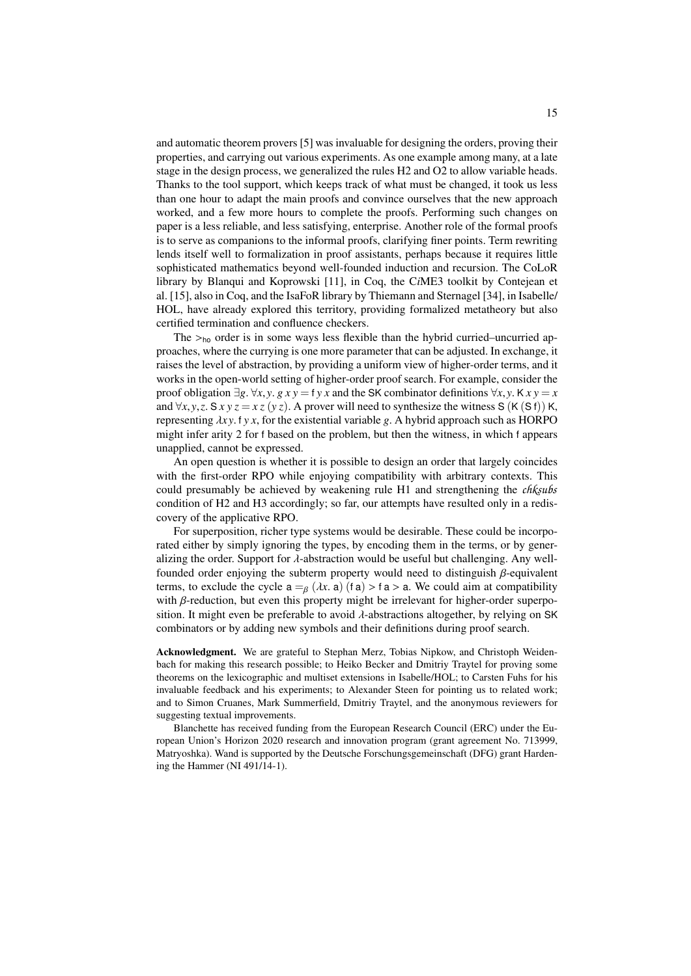and automatic theorem provers [\[5\]](#page-15-16) was invaluable for designing the orders, proving their properties, and carrying out various experiments. As one example among many, at a late stage in the design process, we generalized the rules [H2](#page-5-3) and [O2](#page-6-4) to allow variable heads. Thanks to the tool support, which keeps track of what must be changed, it took us less than one hour to adapt the main proofs and convince ourselves that the new approach worked, and a few more hours to complete the proofs. Performing such changes on paper is a less reliable, and less satisfying, enterprise. Another role of the formal proofs is to serve as companions to the informal proofs, clarifying finer points. Term rewriting lends itself well to formalization in proof assistants, perhaps because it requires little sophisticated mathematics beyond well-founded induction and recursion. The CoLoR library by Blanqui and Koprowski [\[11\]](#page-15-17), in Coq, the C*i*ME3 toolkit by Contejean et al. [\[15\]](#page-15-18), also in Coq, and the IsaFoR library by Thiemann and Sternagel [\[34\]](#page-16-18), in Isabelle/ HOL, have already explored this territory, providing formalized metatheory but also certified termination and confluence checkers.

The  $>_{ho}$  order is in some ways less flexible than the hybrid curried–uncurried approaches, where the currying is one more parameter that can be adjusted. In exchange, it raises the level of abstraction, by providing a uniform view of higher-order terms, and it works in the open-world setting of higher-order proof search. For example, consider the proof obligation  $\exists g. \forall x, y. g x y = f y x$  and the SK combinator definitions  $\forall x, y. K x y = x$ and  $\forall x, y, z$ . S  $xyz = xz(yz)$ . A prover will need to synthesize the witness S (K (S f)) K, representing  $\lambda xy$ . f y x, for the existential variable g. A hybrid approach such as HORPO might infer arity 2 for f based on the problem, but then the witness, in which f appears unapplied, cannot be expressed.

An open question is whether it is possible to design an order that largely coincides with the first-order RPO while enjoying compatibility with arbitrary contexts. This could presumably be achieved by weakening rule [H1](#page-5-2) and strengthening the *chksubs* condition of [H2](#page-5-3) and [H3](#page-6-1) accordingly; so far, our attempts have resulted only in a rediscovery of the applicative RPO.

For superposition, richer type systems would be desirable. These could be incorporated either by simply ignoring the types, by encoding them in the terms, or by generalizing the order. Support for  $\lambda$ -abstraction would be useful but challenging. Any wellfounded order enjoying the subterm property would need to distinguish  $\beta$ -equivalent terms, to exclude the cycle  $a =_\beta (\lambda x, a)$  (f a) > f a > a. We could aim at compatibility with  $β$ -reduction, but even this property might be irrelevant for higher-order superposition. It might even be preferable to avoid  $\lambda$ -abstractions altogether, by relying on SK combinators or by adding new symbols and their definitions during proof search.

Acknowledgment. We are grateful to Stephan Merz, Tobias Nipkow, and Christoph Weidenbach for making this research possible; to Heiko Becker and Dmitriy Traytel for proving some theorems on the lexicographic and multiset extensions in Isabelle/HOL; to Carsten Fuhs for his invaluable feedback and his experiments; to Alexander Steen for pointing us to related work; and to Simon Cruanes, Mark Summerfield, Dmitriy Traytel, and the anonymous reviewers for suggesting textual improvements.

Blanchette has received funding from the European Research Council (ERC) under the European Union's Horizon 2020 research and innovation program (grant agreement No. 713999, Matryoshka). Wand is supported by the Deutsche Forschungsgemeinschaft (DFG) grant Hardening the Hammer (NI 491/14-1).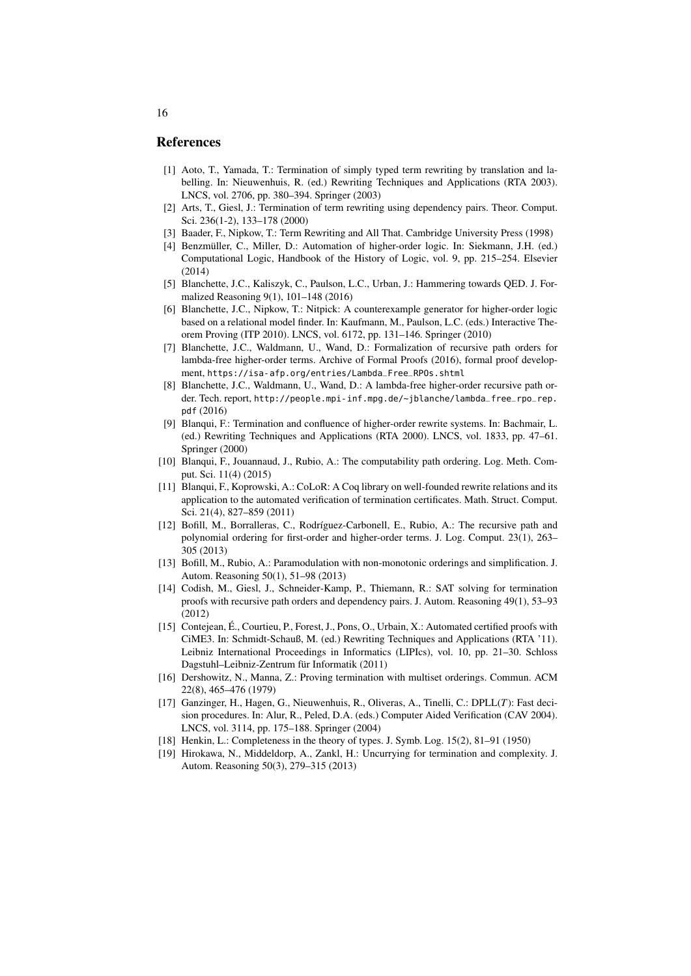## References

- <span id="page-15-13"></span>[1] Aoto, T., Yamada, T.: Termination of simply typed term rewriting by translation and labelling. In: Nieuwenhuis, R. (ed.) Rewriting Techniques and Applications (RTA 2003). LNCS, vol. 2706, pp. 380–394. Springer (2003)
- <span id="page-15-12"></span>[2] Arts, T., Giesl, J.: Termination of term rewriting using dependency pairs. Theor. Comput. Sci. 236(1-2), 133–178 (2000)
- <span id="page-15-3"></span>[3] Baader, F., Nipkow, T.: Term Rewriting and All That. Cambridge University Press (1998)
- <span id="page-15-0"></span>[4] Benzmüller, C., Miller, D.: Automation of higher-order logic. In: Siekmann, J.H. (ed.) Computational Logic, Handbook of the History of Logic, vol. 9, pp. 215–254. Elsevier (2014)
- <span id="page-15-16"></span>[5] Blanchette, J.C., Kaliszyk, C., Paulson, L.C., Urban, J.: Hammering towards QED. J. Formalized Reasoning 9(1), 101–148 (2016)
- <span id="page-15-15"></span>[6] Blanchette, J.C., Nipkow, T.: Nitpick: A counterexample generator for higher-order logic based on a relational model finder. In: Kaufmann, M., Paulson, L.C. (eds.) Interactive Theorem Proving (ITP 2010). LNCS, vol. 6172, pp. 131–146. Springer (2010)
- <span id="page-15-8"></span>[7] Blanchette, J.C., Waldmann, U., Wand, D.: Formalization of recursive path orders for lambda-free higher-order terms. Archive of Formal Proofs (2016), formal proof development, [https://isa-afp.org/entries/Lambda\\_Free\\_RPOs.shtml](https://isa-afp.org/entries/Lambda_Free_RPOs.shtml)
- <span id="page-15-9"></span>[8] Blanchette, J.C., Waldmann, U., Wand, D.: A lambda-free higher-order recursive path order. Tech. report, [http://people.mpi-inf.mpg.de/~jblanche/lambda\\_free\\_rpo\\_rep.](http://people.mpi-inf.mpg.de/~jblanche/lambda_free_rpo_rep.pdf) [pdf](http://people.mpi-inf.mpg.de/~jblanche/lambda_free_rpo_rep.pdf) (2016)
- <span id="page-15-14"></span>[9] Blanqui, F.: Termination and confluence of higher-order rewrite systems. In: Bachmair, L. (ed.) Rewriting Techniques and Applications (RTA 2000). LNCS, vol. 1833, pp. 47–61. Springer (2000)
- <span id="page-15-6"></span>[10] Blanqui, F., Jouannaud, J., Rubio, A.: The computability path ordering. Log. Meth. Comput. Sci. 11(4) (2015)
- <span id="page-15-17"></span>[11] Blanqui, F., Koprowski, A.: CoLoR: A Coq library on well-founded rewrite relations and its application to the automated verification of termination certificates. Math. Struct. Comput. Sci. 21(4), 827–859 (2011)
- <span id="page-15-5"></span>[12] Bofill, M., Borralleras, C., Rodríguez-Carbonell, E., Rubio, A.: The recursive path and polynomial ordering for first-order and higher-order terms. J. Log. Comput. 23(1), 263– 305 (2013)
- <span id="page-15-7"></span>[13] Bofill, M., Rubio, A.: Paramodulation with non-monotonic orderings and simplification. J. Autom. Reasoning 50(1), 51–98 (2013)
- <span id="page-15-11"></span>[14] Codish, M., Giesl, J., Schneider-Kamp, P., Thiemann, R.: SAT solving for termination proofs with recursive path orders and dependency pairs. J. Autom. Reasoning 49(1), 53–93 (2012)
- <span id="page-15-18"></span>[15] Contejean, É., Courtieu, P., Forest, J., Pons, O., Urbain, X.: Automated certified proofs with CiME3. In: Schmidt-Schauß, M. (ed.) Rewriting Techniques and Applications (RTA '11). Leibniz International Proceedings in Informatics (LIPIcs), vol. 10, pp. 21–30. Schloss Dagstuhl–Leibniz-Zentrum für Informatik (2011)
- <span id="page-15-10"></span>[16] Dershowitz, N., Manna, Z.: Proving termination with multiset orderings. Commun. ACM 22(8), 465–476 (1979)
- <span id="page-15-2"></span>[17] Ganzinger, H., Hagen, G., Nieuwenhuis, R., Oliveras, A., Tinelli, C.: DPLL(*T*): Fast decision procedures. In: Alur, R., Peled, D.A. (eds.) Computer Aided Verification (CAV 2004). LNCS, vol. 3114, pp. 175–188. Springer (2004)
- <span id="page-15-1"></span>[18] Henkin, L.: Completeness in the theory of types. J. Symb. Log. 15(2), 81–91 (1950)
- <span id="page-15-4"></span>[19] Hirokawa, N., Middeldorp, A., Zankl, H.: Uncurrying for termination and complexity. J. Autom. Reasoning 50(3), 279–315 (2013)

16